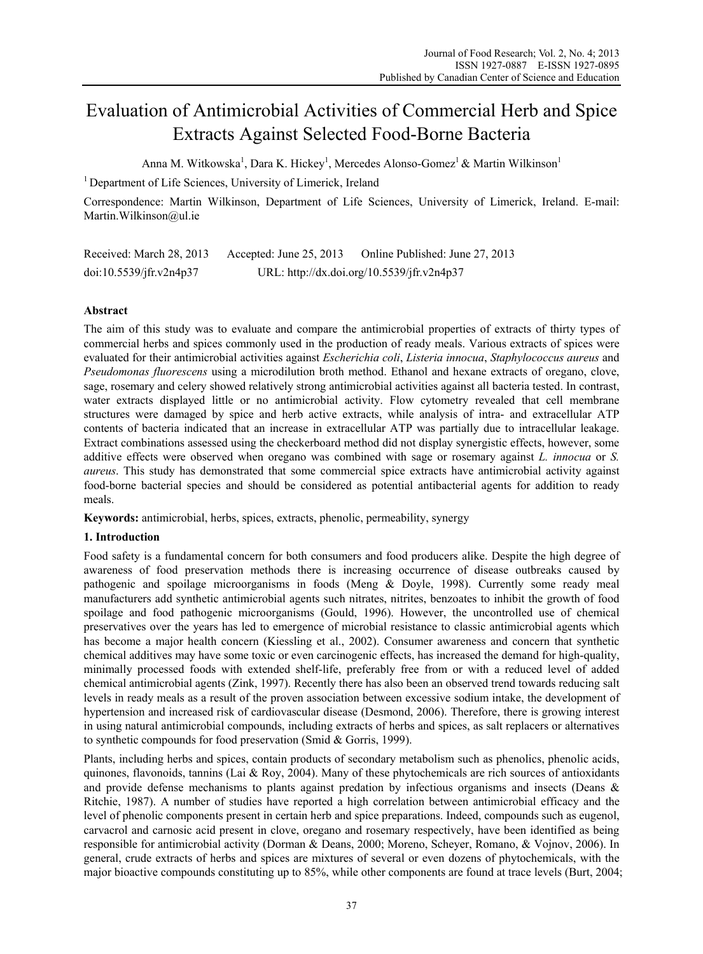# Evaluation of Antimicrobial Activities of Commercial Herb and Spice Extracts Against Selected Food-Borne Bacteria

Anna M. Witkowska<sup>1</sup>, Dara K. Hickey<sup>1</sup>, Mercedes Alonso-Gomez<sup>1</sup> & Martin Wilkinson<sup>1</sup>

<sup>1</sup> Department of Life Sciences, University of Limerick, Ireland

Correspondence: Martin Wilkinson, Department of Life Sciences, University of Limerick, Ireland. E-mail: Martin.Wilkinson@ul.ie

Received: March 28, 2013 Accepted: June 25, 2013 Online Published: June 27, 2013 doi:10.5539/jfr.v2n4p37 URL: http://dx.doi.org/10.5539/jfr.v2n4p37

## **Abstract**

The aim of this study was to evaluate and compare the antimicrobial properties of extracts of thirty types of commercial herbs and spices commonly used in the production of ready meals. Various extracts of spices were evaluated for their antimicrobial activities against *Escherichia coli*, *Listeria innocua*, *Staphylococcus aureus* and *Pseudomonas fluorescens* using a microdilution broth method. Ethanol and hexane extracts of oregano, clove, sage, rosemary and celery showed relatively strong antimicrobial activities against all bacteria tested. In contrast, water extracts displayed little or no antimicrobial activity. Flow cytometry revealed that cell membrane structures were damaged by spice and herb active extracts, while analysis of intra- and extracellular ATP contents of bacteria indicated that an increase in extracellular ATP was partially due to intracellular leakage. Extract combinations assessed using the checkerboard method did not display synergistic effects, however, some additive effects were observed when oregano was combined with sage or rosemary against *L. innocua* or *S. aureus*. This study has demonstrated that some commercial spice extracts have antimicrobial activity against food-borne bacterial species and should be considered as potential antibacterial agents for addition to ready meals.

**Keywords:** antimicrobial, herbs, spices, extracts, phenolic, permeability, synergy

## **1. Introduction**

Food safety is a fundamental concern for both consumers and food producers alike. Despite the high degree of awareness of food preservation methods there is increasing occurrence of disease outbreaks caused by pathogenic and spoilage microorganisms in foods (Meng & Doyle, 1998). Currently some ready meal manufacturers add synthetic antimicrobial agents such nitrates, nitrites, benzoates to inhibit the growth of food spoilage and food pathogenic microorganisms (Gould, 1996). However, the uncontrolled use of chemical preservatives over the years has led to emergence of microbial resistance to classic antimicrobial agents which has become a major health concern (Kiessling et al., 2002). Consumer awareness and concern that synthetic chemical additives may have some toxic or even carcinogenic effects, has increased the demand for high-quality, minimally processed foods with extended shelf-life, preferably free from or with a reduced level of added chemical antimicrobial agents (Zink, 1997). Recently there has also been an observed trend towards reducing salt levels in ready meals as a result of the proven association between excessive sodium intake, the development of hypertension and increased risk of cardiovascular disease (Desmond, 2006). Therefore, there is growing interest in using natural antimicrobial compounds, including extracts of herbs and spices, as salt replacers or alternatives to synthetic compounds for food preservation (Smid & Gorris, 1999).

Plants, including herbs and spices, contain products of secondary metabolism such as phenolics, phenolic acids, quinones, flavonoids, tannins (Lai & Roy, 2004). Many of these phytochemicals are rich sources of antioxidants and provide defense mechanisms to plants against predation by infectious organisms and insects (Deans & Ritchie, 1987). A number of studies have reported a high correlation between antimicrobial efficacy and the level of phenolic components present in certain herb and spice preparations. Indeed, compounds such as eugenol, carvacrol and carnosic acid present in clove, oregano and rosemary respectively, have been identified as being responsible for antimicrobial activity (Dorman & Deans, 2000; Moreno, Scheyer, Romano, & Vojnov, 2006). In general, crude extracts of herbs and spices are mixtures of several or even dozens of phytochemicals, with the major bioactive compounds constituting up to 85%, while other components are found at trace levels (Burt, 2004;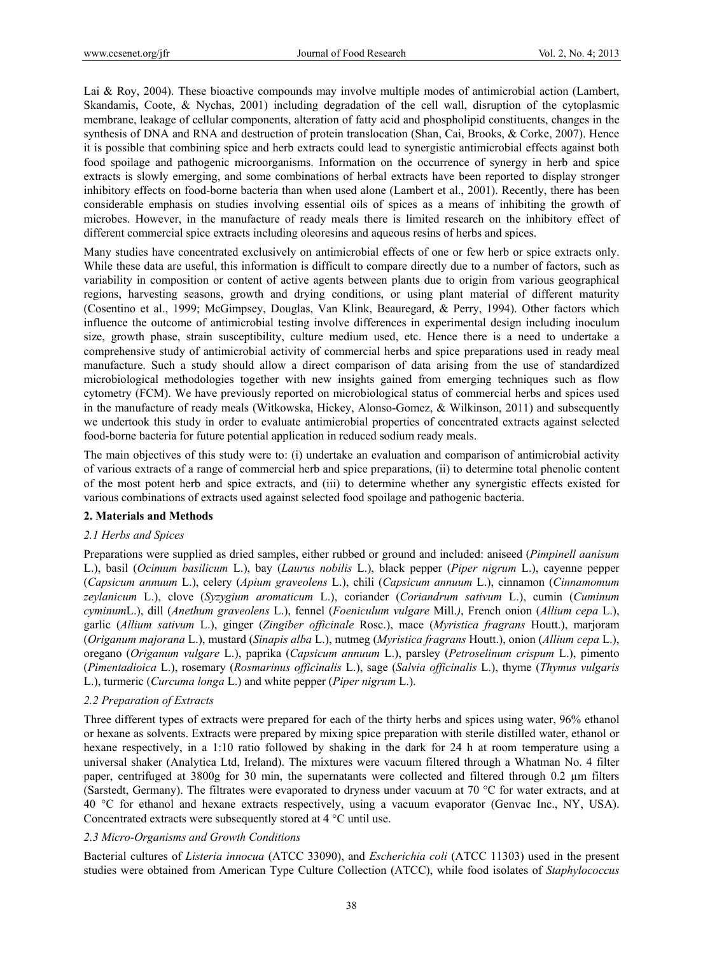Lai & Roy, 2004). These bioactive compounds may involve multiple modes of antimicrobial action (Lambert, Skandamis, Coote, & Nychas, 2001) including degradation of the cell wall, disruption of the cytoplasmic membrane, leakage of cellular components, alteration of fatty acid and phospholipid constituents, changes in the synthesis of DNA and RNA and destruction of protein translocation (Shan, Cai, Brooks, & Corke, 2007). Hence it is possible that combining spice and herb extracts could lead to synergistic antimicrobial effects against both food spoilage and pathogenic microorganisms. Information on the occurrence of synergy in herb and spice extracts is slowly emerging, and some combinations of herbal extracts have been reported to display stronger inhibitory effects on food-borne bacteria than when used alone (Lambert et al., 2001). Recently, there has been considerable emphasis on studies involving essential oils of spices as a means of inhibiting the growth of microbes. However, in the manufacture of ready meals there is limited research on the inhibitory effect of different commercial spice extracts including oleoresins and aqueous resins of herbs and spices.

Many studies have concentrated exclusively on antimicrobial effects of one or few herb or spice extracts only. While these data are useful, this information is difficult to compare directly due to a number of factors, such as variability in composition or content of active agents between plants due to origin from various geographical regions, harvesting seasons, growth and drying conditions, or using plant material of different maturity (Cosentino et al., 1999; McGimpsey, Douglas, Van Klink, Beauregard, & Perry, 1994). Other factors which influence the outcome of antimicrobial testing involve differences in experimental design including inoculum size, growth phase, strain susceptibility, culture medium used, etc. Hence there is a need to undertake a comprehensive study of antimicrobial activity of commercial herbs and spice preparations used in ready meal manufacture. Such a study should allow a direct comparison of data arising from the use of standardized microbiological methodologies together with new insights gained from emerging techniques such as flow cytometry (FCM). We have previously reported on microbiological status of commercial herbs and spices used in the manufacture of ready meals (Witkowska, Hickey, Alonso-Gomez, & Wilkinson, 2011) and subsequently we undertook this study in order to evaluate antimicrobial properties of concentrated extracts against selected food-borne bacteria for future potential application in reduced sodium ready meals.

The main objectives of this study were to: (i) undertake an evaluation and comparison of antimicrobial activity of various extracts of a range of commercial herb and spice preparations, (ii) to determine total phenolic content of the most potent herb and spice extracts, and (iii) to determine whether any synergistic effects existed for various combinations of extracts used against selected food spoilage and pathogenic bacteria.

## **2. Materials and Methods**

## *2.1 Herbs and Spices*

Preparations were supplied as dried samples, either rubbed or ground and included: aniseed (*Pimpinell aanisum*  L.), basil (*Ocimum basilicum* L.), bay (*Laurus nobilis* L.), black pepper (*Piper nigrum* L.), cayenne pepper (*Capsicum annuum* L.), celery (*Apium graveolens* L.), chili (*Capsicum annuum* L.), cinnamon (*Cinnamomum zeylanicum* L.), clove (*Syzygium aromaticum* L.), coriander (*Coriandrum sativum* L.), cumin (*Cuminum cyminum*L.), dill (*Anethum graveolens* L.), fennel (*Foeniculum vulgare* Mill.*)*, French onion (*Allium cepa* L.), garlic (*Allium sativum* L.), ginger (*Zingiber officinale* Rosc.), mace (*Myristica fragrans* Houtt.), marjoram (*Origanum majorana* L.), mustard (*Sinapis alba* L.), nutmeg (*Myristica fragrans* Houtt.), onion (*Allium cepa* L.), oregano (*Origanum vulgare* L.), paprika (*Capsicum annuum* L.), parsley (*Petroselinum crispum* L.), pimento (*Pimentadioica* L.), rosemary (*Rosmarinus officinalis* L.), sage (*Salvia officinalis* L.), thyme (*Thymus vulgaris*  L.), turmeric (*Curcuma longa* L.) and white pepper (*Piper nigrum* L.).

# *2.2 Preparation of Extracts*

Three different types of extracts were prepared for each of the thirty herbs and spices using water, 96% ethanol or hexane as solvents. Extracts were prepared by mixing spice preparation with sterile distilled water, ethanol or hexane respectively, in a 1:10 ratio followed by shaking in the dark for 24 h at room temperature using a universal shaker (Analytica Ltd, Ireland). The mixtures were vacuum filtered through a Whatman No. 4 filter paper, centrifuged at 3800g for 30 min, the supernatants were collected and filtered through 0.2 µm filters (Sarstedt, Germany). The filtrates were evaporated to dryness under vacuum at 70 °C for water extracts, and at 40 °C for ethanol and hexane extracts respectively, using a vacuum evaporator (Genvac Inc., NY, USA). Concentrated extracts were subsequently stored at 4 °C until use.

## *2.3 Micro-Organisms and Growth Conditions*

Bacterial cultures of *Listeria innocua* (ATCC 33090), and *Escherichia coli* (ATCC 11303) used in the present studies were obtained from American Type Culture Collection (ATCC), while food isolates of *Staphylococcus*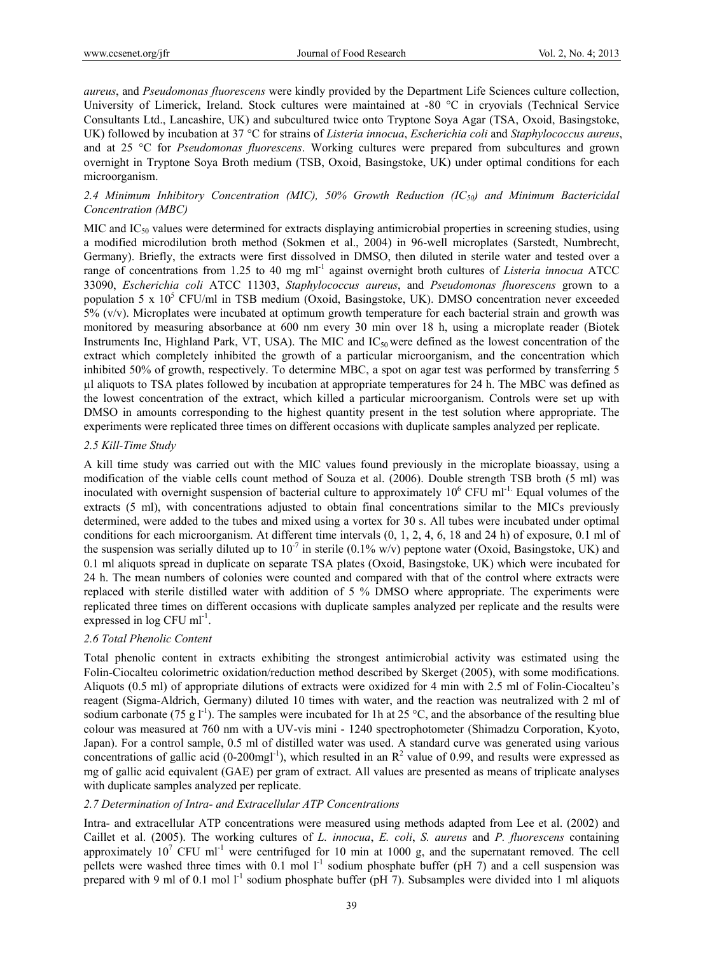*aureus*, and *Pseudomonas fluorescens* were kindly provided by the Department Life Sciences culture collection, University of Limerick, Ireland. Stock cultures were maintained at -80 °C in cryovials (Technical Service Consultants Ltd., Lancashire, UK) and subcultured twice onto Tryptone Soya Agar (TSA, Oxoid, Basingstoke, UK) followed by incubation at 37 °C for strains of *Listeria innocua*, *Escherichia coli* and *Staphylococcus aureus*, and at 25 °C for *Pseudomonas fluorescens*. Working cultures were prepared from subcultures and grown overnight in Tryptone Soya Broth medium (TSB, Oxoid, Basingstoke, UK) under optimal conditions for each microorganism.

# 2.4 Minimum Inhibitory Concentration (MIC), 50% Growth Reduction (IC<sub>50</sub>) and Minimum Bactericidal *Concentration (MBC)*

MIC and IC<sub>50</sub> values were determined for extracts displaying antimicrobial properties in screening studies, using a modified microdilution broth method (Sokmen et al., 2004) in 96-well microplates (Sarstedt, Numbrecht, Germany). Briefly, the extracts were first dissolved in DMSO, then diluted in sterile water and tested over a range of concentrations from 1.25 to 40 mg ml<sup>-1</sup> against overnight broth cultures of *Listeria innocua* ATCC 33090, *Escherichia coli* ATCC 11303, *Staphylococcus aureus*, and *Pseudomonas fluorescens* grown to a population 5 x 10<sup>5</sup> CFU/ml in TSB medium (Oxoid, Basingstoke, UK). DMSO concentration never exceeded 5% (v/v). Microplates were incubated at optimum growth temperature for each bacterial strain and growth was monitored by measuring absorbance at 600 nm every 30 min over 18 h, using a microplate reader (Biotek Instruments Inc, Highland Park, VT, USA). The MIC and  $IC_{50}$  were defined as the lowest concentration of the extract which completely inhibited the growth of a particular microorganism, and the concentration which inhibited 50% of growth, respectively. To determine MBC, a spot on agar test was performed by transferring 5 µl aliquots to TSA plates followed by incubation at appropriate temperatures for 24 h. The MBC was defined as the lowest concentration of the extract, which killed a particular microorganism. Controls were set up with DMSO in amounts corresponding to the highest quantity present in the test solution where appropriate. The experiments were replicated three times on different occasions with duplicate samples analyzed per replicate.

## *2.5 Kill-Time Study*

A kill time study was carried out with the MIC values found previously in the microplate bioassay, using a modification of the viable cells count method of Souza et al. (2006). Double strength TSB broth (5 ml) was inoculated with overnight suspension of bacterial culture to approximately  $10^6$  CFU ml<sup>-1.</sup> Equal volumes of the extracts (5 ml), with concentrations adjusted to obtain final concentrations similar to the MICs previously determined, were added to the tubes and mixed using a vortex for 30 s. All tubes were incubated under optimal conditions for each microorganism. At different time intervals (0, 1, 2, 4, 6, 18 and 24 h) of exposure, 0.1 ml of the suspension was serially diluted up to  $10^{-7}$  in sterile (0.1% w/v) peptone water (Oxoid, Basingstoke, UK) and 0.1 ml aliquots spread in duplicate on separate TSA plates (Oxoid, Basingstoke, UK) which were incubated for 24 h. The mean numbers of colonies were counted and compared with that of the control where extracts were replaced with sterile distilled water with addition of 5 % DMSO where appropriate. The experiments were replicated three times on different occasions with duplicate samples analyzed per replicate and the results were expressed in log CFU ml<sup>-1</sup>.

## *2.6 Total Phenolic Content*

Total phenolic content in extracts exhibiting the strongest antimicrobial activity was estimated using the Folin-Ciocalteu colorimetric oxidation/reduction method described by Skerget (2005), with some modifications. Aliquots (0.5 ml) of appropriate dilutions of extracts were oxidized for 4 min with 2.5 ml of Folin-Ciocalteu's reagent (Sigma-Aldrich, Germany) diluted 10 times with water, and the reaction was neutralized with 2 ml of sodium carbonate (75 g l<sup>-1</sup>). The samples were incubated for 1h at 25 °C, and the absorbance of the resulting blue colour was measured at 760 nm with a UV-vis mini - 1240 spectrophotometer (Shimadzu Corporation, Kyoto, Japan). For a control sample, 0.5 ml of distilled water was used. A standard curve was generated using various concentrations of gallic acid (0-200mgl<sup>-1</sup>), which resulted in an  $R^2$  value of 0.99, and results were expressed as mg of gallic acid equivalent (GAE) per gram of extract. All values are presented as means of triplicate analyses with duplicate samples analyzed per replicate.

## *2.7 Determination of Intra- and Extracellular ATP Concentrations*

Intra- and extracellular ATP concentrations were measured using methods adapted from Lee et al. (2002) and Caillet et al. (2005). The working cultures of *L. innocua*, *E. coli*, *S. aureus* and *P. fluorescens* containing approximately  $10^7$  CFU ml<sup>-1</sup> were centrifuged for 10 min at 1000 g, and the supernatant removed. The cell pellets were washed three times with  $0.1$  mol  $1^{-1}$  sodium phosphate buffer (pH 7) and a cell suspension was prepared with 9 ml of 0.1 mol  $I<sup>-1</sup>$  sodium phosphate buffer (pH 7). Subsamples were divided into 1 ml aliquots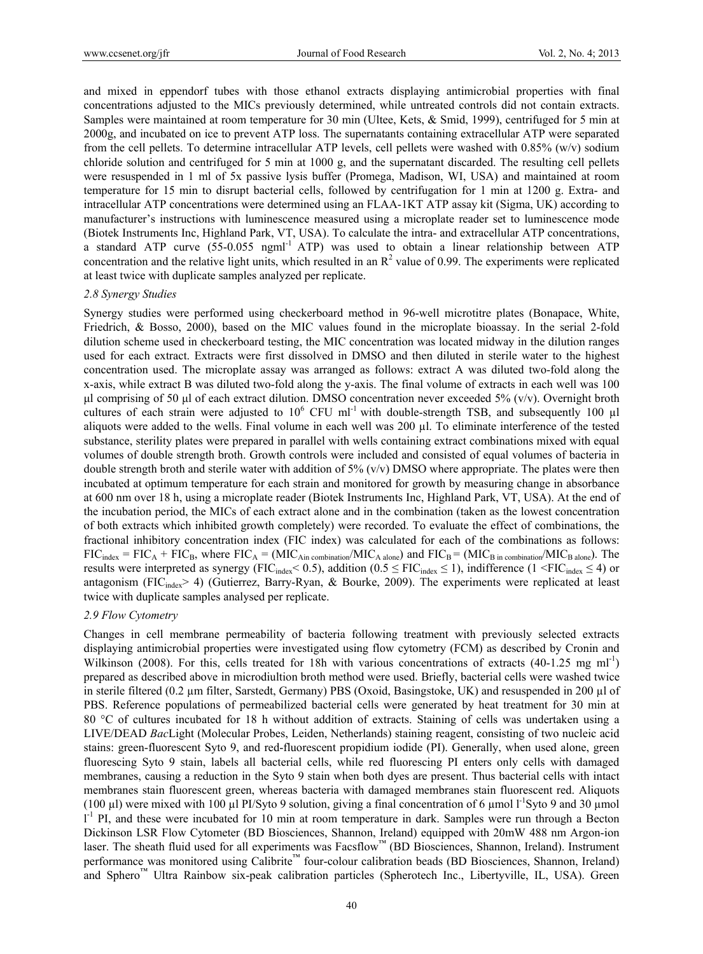and mixed in eppendorf tubes with those ethanol extracts displaying antimicrobial properties with final concentrations adjusted to the MICs previously determined, while untreated controls did not contain extracts. Samples were maintained at room temperature for 30 min (Ultee, Kets, & Smid, 1999), centrifuged for 5 min at 2000g, and incubated on ice to prevent ATP loss. The supernatants containing extracellular ATP were separated from the cell pellets. To determine intracellular ATP levels, cell pellets were washed with 0.85% (w/v) sodium chloride solution and centrifuged for 5 min at 1000 g, and the supernatant discarded. The resulting cell pellets were resuspended in 1 ml of 5x passive lysis buffer (Promega, Madison, WI, USA) and maintained at room temperature for 15 min to disrupt bacterial cells, followed by centrifugation for 1 min at 1200 g. Extra- and intracellular ATP concentrations were determined using an FLAA-1KT ATP assay kit (Sigma, UK) according to manufacturer's instructions with luminescence measured using a microplate reader set to luminescence mode (Biotek Instruments Inc, Highland Park, VT, USA). To calculate the intra- and extracellular ATP concentrations, a standard ATP curve  $(55-0.055 \text{ ngml}^{-1}$  ATP) was used to obtain a linear relationship between ATP concentration and the relative light units, which resulted in an  $\mathbb{R}^2$  value of 0.99. The experiments were replicated at least twice with duplicate samples analyzed per replicate.

#### *2.8 Synergy Studies*

Synergy studies were performed using checkerboard method in 96-well microtitre plates (Bonapace, White, Friedrich, & Bosso, 2000), based on the MIC values found in the microplate bioassay. In the serial 2-fold dilution scheme used in checkerboard testing, the MIC concentration was located midway in the dilution ranges used for each extract. Extracts were first dissolved in DMSO and then diluted in sterile water to the highest concentration used. The microplate assay was arranged as follows: extract A was diluted two-fold along the x-axis, while extract B was diluted two-fold along the y-axis. The final volume of extracts in each well was 100 μl comprising of 50 μl of each extract dilution. DMSO concentration never exceeded 5% (v/v). Overnight broth cultures of each strain were adjusted to  $10^6$  CFU ml<sup>-1</sup> with double-strength TSB, and subsequently 100  $\mu$ l aliquots were added to the wells. Final volume in each well was 200 µl. To eliminate interference of the tested substance, sterility plates were prepared in parallel with wells containing extract combinations mixed with equal volumes of double strength broth. Growth controls were included and consisted of equal volumes of bacteria in double strength broth and sterile water with addition of  $5\%$  (v/v) DMSO where appropriate. The plates were then incubated at optimum temperature for each strain and monitored for growth by measuring change in absorbance at 600 nm over 18 h, using a microplate reader (Biotek Instruments Inc, Highland Park, VT, USA). At the end of the incubation period, the MICs of each extract alone and in the combination (taken as the lowest concentration of both extracts which inhibited growth completely) were recorded. To evaluate the effect of combinations, the fractional inhibitory concentration index (FIC index) was calculated for each of the combinations as follows:  $FIC_{index} = FIC_A + FIC_B$ , where  $FIC_A = (MIC_{Ain combination}/MIC_{A alone})$  and  $FIC_B = (MIC_{B in combination}/MIC_{B alone})$ . The results were interpreted as synergy (FIC<sub>index</sub> < 0.5), addition (0.5  $\leq$  FIC<sub>index</sub>  $\leq$  1), indifference (1 <FIC<sub>index</sub>  $\leq$  4) or antagonism (FICindex> 4) (Gutierrez, Barry-Ryan, & Bourke, 2009). The experiments were replicated at least twice with duplicate samples analysed per replicate.

#### *2.9 Flow Cytometry*

Changes in cell membrane permeability of bacteria following treatment with previously selected extracts displaying antimicrobial properties were investigated using flow cytometry (FCM) as described by Cronin and Wilkinson (2008). For this, cells treated for 18h with various concentrations of extracts (40-1.25 mg ml<sup>-1</sup>) prepared as described above in microdiultion broth method were used. Briefly, bacterial cells were washed twice in sterile filtered (0.2  $\mu$ m filter, Sarstedt, Germany) PBS (Oxoid, Basingstoke, UK) and resuspended in 200  $\mu$ l of PBS. Reference populations of permeabilized bacterial cells were generated by heat treatment for 30 min at 80 °C of cultures incubated for 18 h without addition of extracts. Staining of cells was undertaken using a LIVE/DEAD *Bac*Light (Molecular Probes, Leiden, Netherlands) staining reagent, consisting of two nucleic acid stains: green-fluorescent Syto 9, and red-fluorescent propidium iodide (PI). Generally, when used alone, green fluorescing Syto 9 stain, labels all bacterial cells, while red fluorescing PI enters only cells with damaged membranes, causing a reduction in the Syto 9 stain when both dyes are present. Thus bacterial cells with intact membranes stain fluorescent green, whereas bacteria with damaged membranes stain fluorescent red. Aliquots (100  $\mu$ ) were mixed with 100  $\mu$  PI/Syto 9 solution, giving a final concentration of 6  $\mu$ mol l<sup>-1</sup>Syto 9 and 30  $\mu$ mol 1<sup>-1</sup> PI, and these were incubated for 10 min at room temperature in dark. Samples were run through a Becton Dickinson LSR Flow Cytometer (BD Biosciences, Shannon, Ireland) equipped with 20mW 488 nm Argon-ion laser. The sheath fluid used for all experiments was Facsflow™ (BD Biosciences, Shannon, Ireland). Instrument performance was monitored using Calibrite™ four-colour calibration beads (BD Biosciences, Shannon, Ireland) and Sphero™ Ultra Rainbow six-peak calibration particles (Spherotech Inc., Libertyville, IL, USA). Green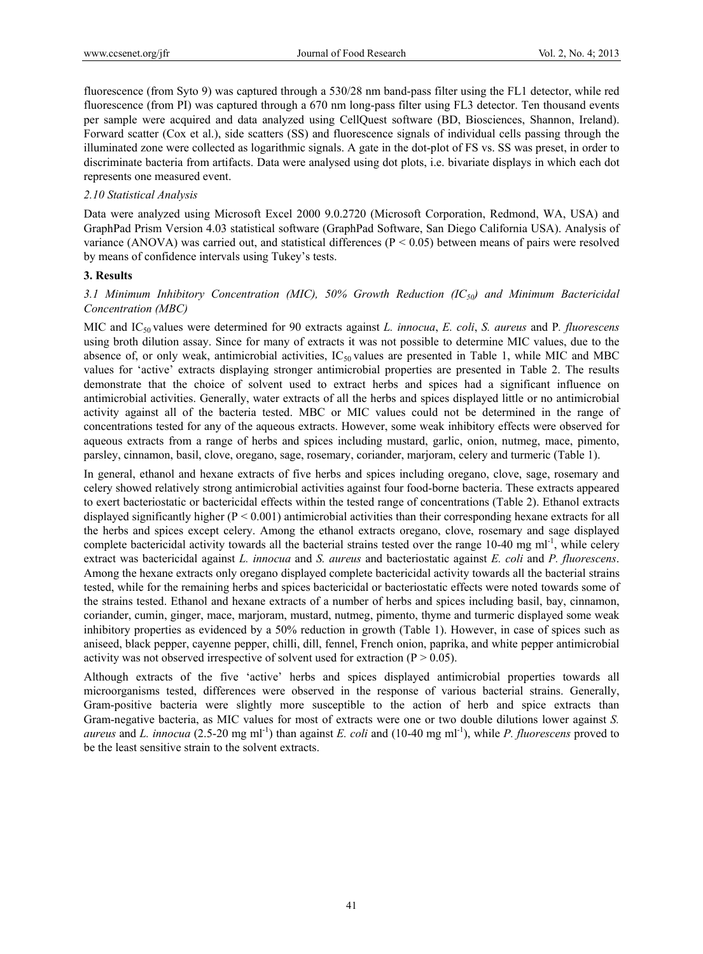fluorescence (from Syto 9) was captured through a 530/28 nm band-pass filter using the FL1 detector, while red fluorescence (from PI) was captured through a 670 nm long-pass filter using FL3 detector. Ten thousand events per sample were acquired and data analyzed using CellQuest software (BD, Biosciences, Shannon, Ireland). Forward scatter (Cox et al.), side scatters (SS) and fluorescence signals of individual cells passing through the illuminated zone were collected as logarithmic signals. A gate in the dot-plot of FS vs. SS was preset, in order to discriminate bacteria from artifacts. Data were analysed using dot plots, i.e. bivariate displays in which each dot represents one measured event.

#### *2.10 Statistical Analysis*

Data were analyzed using Microsoft Excel 2000 9.0.2720 (Microsoft Corporation, Redmond, WA, USA) and GraphPad Prism Version 4.03 statistical software (GraphPad Software, San Diego California USA). Analysis of variance (ANOVA) was carried out, and statistical differences ( $P < 0.05$ ) between means of pairs were resolved by means of confidence intervals using Tukey's tests.

#### **3. Results**

## *3.1 Minimum Inhibitory Concentration (MIC), 50% Growth Reduction (IC50) and Minimum Bactericidal Concentration (MBC)*

MIC and IC50 values were determined for 90 extracts against *L. innocua*, *E. coli*, *S. aureus* and P*. fluorescens* using broth dilution assay. Since for many of extracts it was not possible to determine MIC values, due to the absence of, or only weak, antimicrobial activities,  $IC_{50}$  values are presented in Table 1, while MIC and MBC values for 'active' extracts displaying stronger antimicrobial properties are presented in Table 2. The results demonstrate that the choice of solvent used to extract herbs and spices had a significant influence on antimicrobial activities. Generally, water extracts of all the herbs and spices displayed little or no antimicrobial activity against all of the bacteria tested. MBC or MIC values could not be determined in the range of concentrations tested for any of the aqueous extracts. However, some weak inhibitory effects were observed for aqueous extracts from a range of herbs and spices including mustard, garlic, onion, nutmeg, mace, pimento, parsley, cinnamon, basil, clove, oregano, sage, rosemary, coriander, marjoram, celery and turmeric (Table 1).

In general, ethanol and hexane extracts of five herbs and spices including oregano, clove, sage, rosemary and celery showed relatively strong antimicrobial activities against four food-borne bacteria. These extracts appeared to exert bacteriostatic or bactericidal effects within the tested range of concentrations (Table 2). Ethanol extracts displayed significantly higher (P < 0.001) antimicrobial activities than their corresponding hexane extracts for all the herbs and spices except celery. Among the ethanol extracts oregano, clove, rosemary and sage displayed complete bactericidal activity towards all the bacterial strains tested over the range  $10-40$  mg ml<sup>-1</sup>, while celery extract was bactericidal against *L. innocua* and *S. aureus* and bacteriostatic against *E. coli* and *P. fluorescens*. Among the hexane extracts only oregano displayed complete bactericidal activity towards all the bacterial strains tested, while for the remaining herbs and spices bactericidal or bacteriostatic effects were noted towards some of the strains tested. Ethanol and hexane extracts of a number of herbs and spices including basil, bay, cinnamon, coriander, cumin, ginger, mace, marjoram, mustard, nutmeg, pimento, thyme and turmeric displayed some weak inhibitory properties as evidenced by a 50% reduction in growth (Table 1). However, in case of spices such as aniseed, black pepper, cayenne pepper, chilli, dill, fennel, French onion, paprika, and white pepper antimicrobial activity was not observed irrespective of solvent used for extraction ( $P > 0.05$ ).

Although extracts of the five 'active' herbs and spices displayed antimicrobial properties towards all microorganisms tested, differences were observed in the response of various bacterial strains. Generally, Gram-positive bacteria were slightly more susceptible to the action of herb and spice extracts than Gram-negative bacteria, as MIC values for most of extracts were one or two double dilutions lower against *S. aureus* and *L. innocua* (2.5-20 mg ml<sup>-1</sup>) than against *E. coli* and (10-40 mg ml<sup>-1</sup>), while *P. fluorescens* proved to be the least sensitive strain to the solvent extracts.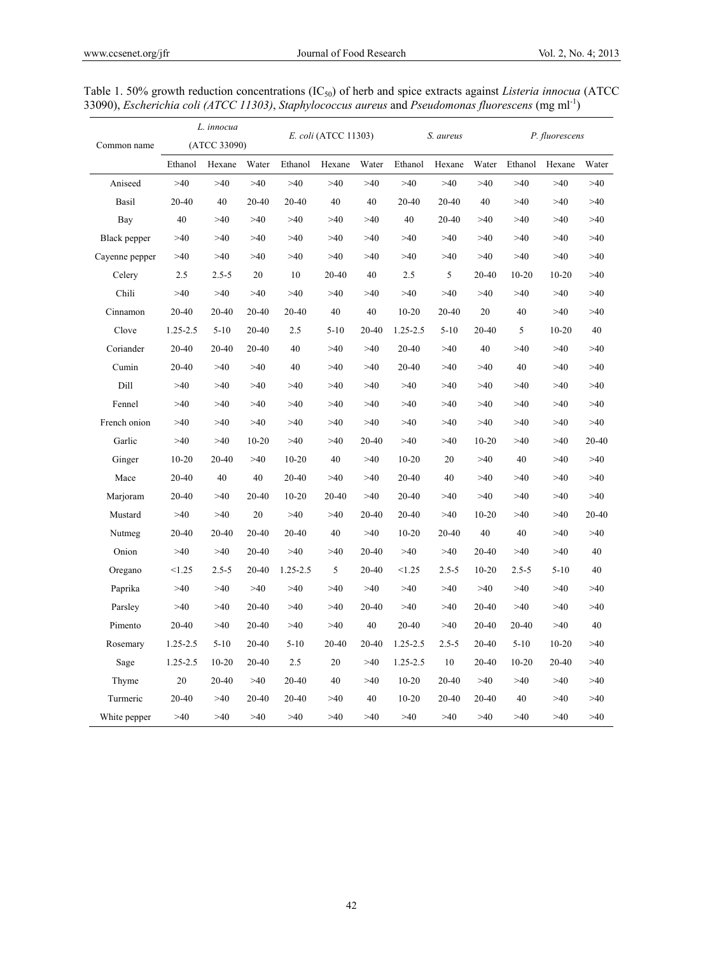| Common name    | L. innocua<br>(ATCC 33090) |           |           | E. coli (ATCC 11303) |          |           | S. aureus    |           |           | P. fluorescens |           |       |
|----------------|----------------------------|-----------|-----------|----------------------|----------|-----------|--------------|-----------|-----------|----------------|-----------|-------|
|                | Ethanol                    | Hexane    | Water     | Ethanol              | Hexane   | Water     | Ethanol      | Hexane    | Water     | Ethanol        | Hexane    | Water |
| Aniseed        | $>40$                      | >40       | $>40$     | $>40$                | >40      | >40       | >40          | $>40$     | >40       | $>40$          | $>40$     | >40   |
| Basil          | 20-40                      | 40        | 20-40     | 20-40                | 40       | 40        | 20-40        | 20-40     | 40        | >40            | >40       | >40   |
| Bay            | 40                         | >40       | >40       | >40                  | >40      | >40       | 40           | 20-40     | >40       | >40            | >40       | >40   |
| Black pepper   | >40                        | >40       | >40       | >40                  | >40      | >40       | >40          | >40       | >40       | >40            | >40       | >40   |
| Cayenne pepper | >40                        | >40       | >40       | >40                  | >40      | >40       | >40          | >40       | >40       | >40            | >40       | >40   |
| Celery         | 2.5                        | $2.5 - 5$ | 20        | 10                   | 20-40    | 40        | 2.5          | 5         | 20-40     | $10 - 20$      | $10 - 20$ | >40   |
| Chili          | >40                        | >40       | >40       | >40                  | >40      | >40       | >40          | >40       | >40       | >40            | >40       | >40   |
| Cinnamon       | $20 - 40$                  | $20 - 40$ | 20-40     | $20 - 40$            | 40       | 40        | $10 - 20$    | 20-40     | 20        | 40             | >40       | >40   |
| Clove          | 1.25-2.5                   | $5-10$    | 20-40     | 2.5                  | $5 - 10$ | 20-40     | $1.25 - 2.5$ | $5-10$    | 20-40     | 5              | $10 - 20$ | 40    |
| Coriander      | 20-40                      | 20-40     | 20-40     | 40                   | >40      | >40       | 20-40        | >40       | 40        | >40            | >40       | >40   |
| Cumin          | 20-40                      | >40       | >40       | 40                   | >40      | >40       | 20-40        | >40       | >40       | 40             | >40       | >40   |
| Dill           | >40                        | >40       | >40       | >40                  | >40      | >40       | >40          | >40       | >40       | >40            | >40       | >40   |
| Fennel         | >40                        | >40       | >40       | >40                  | >40      | >40       | >40          | >40       | >40       | >40            | >40       | >40   |
| French onion   | >40                        | >40       | >40       | >40                  | >40      | >40       | >40          | >40       | >40       | >40            | >40       | >40   |
| Garlic         | >40                        | >40       | $10 - 20$ | >40                  | >40      | $20 - 40$ | >40          | >40       | $10 - 20$ | >40            | >40       | 20-40 |
| Ginger         | $10 - 20$                  | 20-40     | >40       | $10 - 20$            | 40       | >40       | $10 - 20$    | 20        | >40       | 40             | >40       | >40   |
| Mace           | 20-40                      | 40        | 40        | 20-40                | >40      | >40       | 20-40        | 40        | >40       | >40            | >40       | >40   |
| Marjoram       | 20-40                      | $>40$     | 20-40     | $10 - 20$            | 20-40    | >40       | 20-40        | >40       | >40       | >40            | >40       | >40   |
| Mustard        | >40                        | >40       | 20        | $>40$                | >40      | 20-40     | 20-40        | >40       | $10 - 20$ | >40            | >40       | 20-40 |
| Nutmeg         | $20 - 40$                  | $20 - 40$ | 20-40     | $20 - 40$            | 40       | >40       | $10 - 20$    | 20-40     | 40        | 40             | >40       | $>40$ |
| Onion          | >40                        | >40       | 20-40     | >40                  | >40      | 20-40     | >40          | >40       | 20-40     | >40            | >40       | 40    |
| Oregano        | < 1.25                     | $2.5 - 5$ | 20-40     | $1.25 - 2.5$         | 5        | $20 - 40$ | < 1.25       | $2.5 - 5$ | $10 - 20$ | $2.5 - 5$      | $5-10$    | 40    |
| Paprika        | >40                        | $>40$     | $>40$     | >40                  | >40      | >40       | $>40$        | >40       | >40       | $>40$          | >40       | >40   |
| Parsley        | >40                        | >40       | 20-40     | >40                  | >40      | 20-40     | >40          | >40       | 20-40     | $>40$          | >40       | >40   |
| Pimento        | 20-40                      | >40       | 20-40     | >40                  | >40      | 40        | 20-40        | >40       | 20-40     | 20-40          | >40       | 40    |
| Rosemary       | $1.25 - 2.5$               | $5 - 10$  | 20-40     | $5 - 10$             | 20-40    | 20-40     | $1.25 - 2.5$ | $2.5 - 5$ | 20-40     | $5 - 10$       | $10 - 20$ | >40   |
| Sage           | 1.25-2.5                   | $10 - 20$ | 20-40     | 2.5                  | 20       | >40       | $1.25 - 2.5$ | 10        | 20-40     | $10 - 20$      | $20 - 40$ | >40   |
| Thyme          | 20                         | 20-40     | >40       | 20-40                | 40       | >40       | $10 - 20$    | 20-40     | >40       | >40            | >40       | >40   |
| Turmeric       | $20 - 40$                  | >40       | 20-40     | $20 - 40$            | >40      | 40        | $10 - 20$    | 20-40     | 20-40     | 40             | >40       | >40   |
| White pepper   | >40                        | >40       | >40       | >40                  | >40      | >40       | >40          | $>40$     | >40       | >40            | >40       | >40   |

Table 1. 50% growth reduction concentrations (IC<sub>50</sub>) of herb and spice extracts against *Listeria innocua* (ATCC 33090), *Escherichia coli (ATCC 11303)*, *Staphylococcus aureus* and *Pseudomonas fluorescens* (mg ml-1)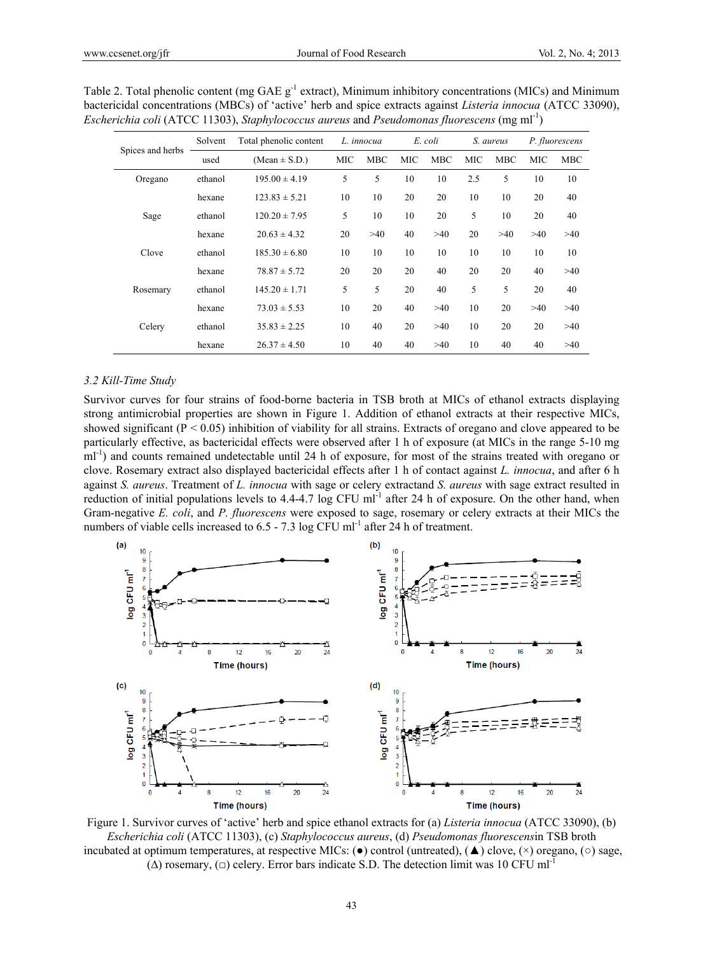|                  | Solvent | Total phenolic content |     | L. innocua |            | E. coli    |            | S. aureus  |     | P. fluorescens |
|------------------|---------|------------------------|-----|------------|------------|------------|------------|------------|-----|----------------|
| Spices and herbs | used    | $(Mean \pm S.D.)$      | MIC | <b>MBC</b> | <b>MIC</b> | <b>MBC</b> | <b>MIC</b> | <b>MBC</b> | MIC | <b>MBC</b>     |
| Oregano          | ethanol | $195.00 \pm 4.19$      | 5   | 5          | 10         | 10         | 2.5        | 5          | 10  | 10             |
|                  | hexane  | $123.83 \pm 5.21$      | 10  | 10         | 20         | 20         | 10         | 10         | 20  | 40             |
| Sage             | ethanol | $120.20 \pm 7.95$      | 5   | 10         | 10         | 20         | 5          | 10         | 20  | 40             |
|                  | hexane  | $20.63 \pm 4.32$       | 20  | >40        | 40         | >40        | 20         | >40        | >40 | >40            |
| Clove            | ethanol | $185.30 \pm 6.80$      | 10  | 10         | 10         | 10         | 10         | 10         | 10  | 10             |
|                  | hexane  | $78.87 \pm 5.72$       | 20  | 20         | 20         | 40         | 20         | 20         | 40  | >40            |
| Rosemary         | ethanol | $145.20 \pm 1.71$      | 5   | 5          | 20         | 40         | 5          | 5          | 20  | 40             |
|                  | hexane  | $73.03 \pm 5.53$       | 10  | 20         | 40         | >40        | 10         | 20         | >40 | >40            |
| Celery           | ethanol | $35.83 \pm 2.25$       | 10  | 40         | 20         | >40        | 10         | 20         | 20  | >40            |
|                  | hexane  | $26.37 \pm 4.50$       | 10  | 40         | 40         | >40        | 10         | 40         | 40  | >40            |

Table 2. Total phenolic content (mg GAE g<sup>-1</sup> extract), Minimum inhibitory concentrations (MICs) and Minimum bactericidal concentrations (MBCs) of 'active' herb and spice extracts against *Listeria innocua* (ATCC 33090), *Escherichia coli* (ATCC 11303), *Staphylococcus aureus* and *Pseudomonas fluorescens* (mg ml<sup>-1</sup>)

#### *3.2 Kill-Time Study*

Survivor curves for four strains of food-borne bacteria in TSB broth at MICs of ethanol extracts displaying strong antimicrobial properties are shown in Figure 1. Addition of ethanol extracts at their respective MICs, showed significant ( $P < 0.05$ ) inhibition of viability for all strains. Extracts of oregano and clove appeared to be particularly effective, as bactericidal effects were observed after 1 h of exposure (at MICs in the range 5-10 mg  $ml^{-1}$ ) and counts remained undetectable until 24 h of exposure, for most of the strains treated with oregano or clove. Rosemary extract also displayed bactericidal effects after 1 h of contact against *L. innocua*, and after 6 h against *S. aureus*. Treatment of *L. innocua* with sage or celery extractand *S. aureus* with sage extract resulted in reduction of initial populations levels to  $4.4$ - $4.7$  log CFU ml<sup>-1</sup> after 24 h of exposure. On the other hand, when Gram-negative *E. coli*, and *P. fluorescens* were exposed to sage, rosemary or celery extracts at their MICs the numbers of viable cells increased to  $6.5 - 7.3 \log CFU \text{ ml}^{-1}$  after 24 h of treatment.



Figure 1. Survivor curves of 'active' herb and spice ethanol extracts for (a) *Listeria innocua* (ATCC 33090), (b) *Escherichia coli* (ATCC 11303), (c) *Staphylococcus aureus*, (d) *Pseudomonas fluorescens*in TSB broth incubated at optimum temperatures, at respective MICs: (●) control (untreated), (▲) clove, (×) oregano, (○) sage, ( $\Delta$ ) rosemary, ( $\Box$ ) celery. Error bars indicate S.D. The detection limit was 10 CFU ml<sup>-1</sup>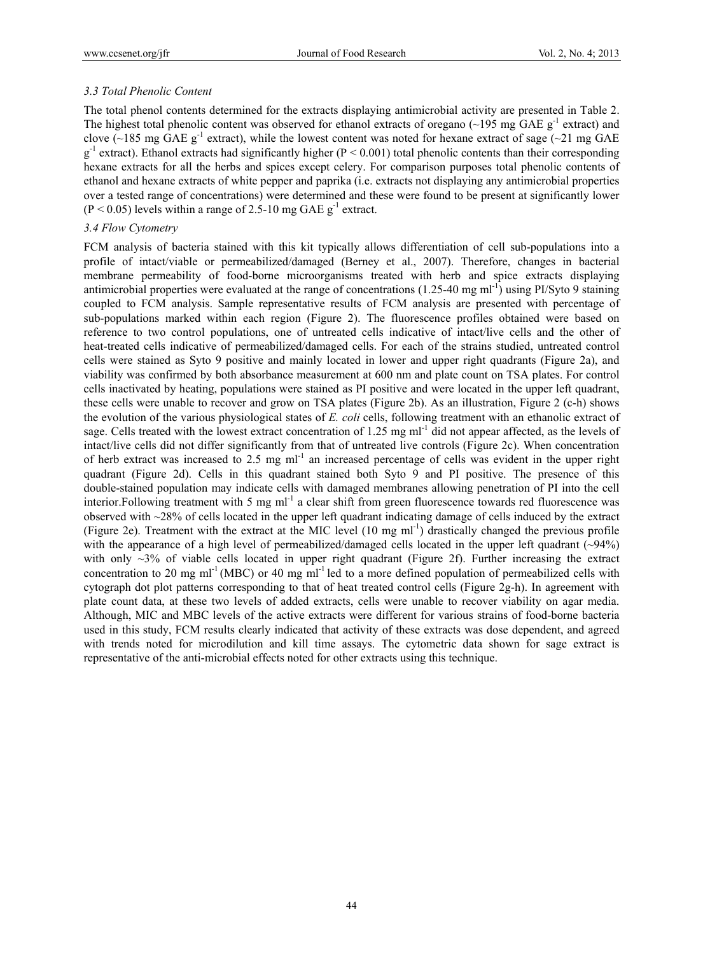## *3.3 Total Phenolic Content*

The total phenol contents determined for the extracts displaying antimicrobial activity are presented in Table 2. The highest total phenolic content was observed for ethanol extracts of oregano ( $\sim$ 195 mg GAE g<sup>-1</sup> extract) and clove (~185 mg GAE g<sup>-1</sup> extract), while the lowest content was noted for hexane extract of sage (~21 mg GAE  $g^{-1}$  extract). Ethanol extracts had significantly higher (P < 0.001) total phenolic contents than their corresponding hexane extracts for all the herbs and spices except celery. For comparison purposes total phenolic contents of ethanol and hexane extracts of white pepper and paprika (i.e. extracts not displaying any antimicrobial properties over a tested range of concentrations) were determined and these were found to be present at significantly lower  $(P < 0.05)$  levels within a range of 2.5-10 mg GAE g<sup>-1</sup> extract.

## *3.4 Flow Cytometry*

FCM analysis of bacteria stained with this kit typically allows differentiation of cell sub-populations into a profile of intact/viable or permeabilized/damaged (Berney et al., 2007). Therefore, changes in bacterial membrane permeability of food-borne microorganisms treated with herb and spice extracts displaying antimicrobial properties were evaluated at the range of concentrations  $(1.25-40 \text{ mg ml}^{-1})$  using PI/Syto 9 staining coupled to FCM analysis. Sample representative results of FCM analysis are presented with percentage of sub-populations marked within each region (Figure 2). The fluorescence profiles obtained were based on reference to two control populations, one of untreated cells indicative of intact/live cells and the other of heat-treated cells indicative of permeabilized/damaged cells. For each of the strains studied, untreated control cells were stained as Syto 9 positive and mainly located in lower and upper right quadrants (Figure 2a), and viability was confirmed by both absorbance measurement at 600 nm and plate count on TSA plates. For control cells inactivated by heating, populations were stained as PI positive and were located in the upper left quadrant, these cells were unable to recover and grow on TSA plates (Figure 2b). As an illustration, Figure 2 (c-h) shows the evolution of the various physiological states of *E. coli* cells, following treatment with an ethanolic extract of sage. Cells treated with the lowest extract concentration of 1.25 mg ml<sup>-1</sup> did not appear affected, as the levels of intact/live cells did not differ significantly from that of untreated live controls (Figure 2c). When concentration of herb extract was increased to 2.5 mg ml<sup>-1</sup> an increased percentage of cells was evident in the upper right quadrant (Figure 2d). Cells in this quadrant stained both Syto 9 and PI positive. The presence of this double-stained population may indicate cells with damaged membranes allowing penetration of PI into the cell interior.Following treatment with 5 mg ml<sup>-1</sup> a clear shift from green fluorescence towards red fluorescence was observed with ~28% of cells located in the upper left quadrant indicating damage of cells induced by the extract (Figure 2e). Treatment with the extract at the MIC level  $(10 \text{ mg ml}^{-1})$  drastically changed the previous profile with the appearance of a high level of permeabilized/damaged cells located in the upper left quadrant (~94%) with only  $\sim$ 3% of viable cells located in upper right quadrant (Figure 2f). Further increasing the extract concentration to 20 mg ml<sup>-1</sup> (MBC) or 40 mg ml<sup>-1</sup> led to a more defined population of permeabilized cells with cytograph dot plot patterns corresponding to that of heat treated control cells (Figure 2g-h). In agreement with plate count data, at these two levels of added extracts, cells were unable to recover viability on agar media. Although, MIC and MBC levels of the active extracts were different for various strains of food-borne bacteria used in this study, FCM results clearly indicated that activity of these extracts was dose dependent, and agreed with trends noted for microdilution and kill time assays. The cytometric data shown for sage extract is representative of the anti-microbial effects noted for other extracts using this technique.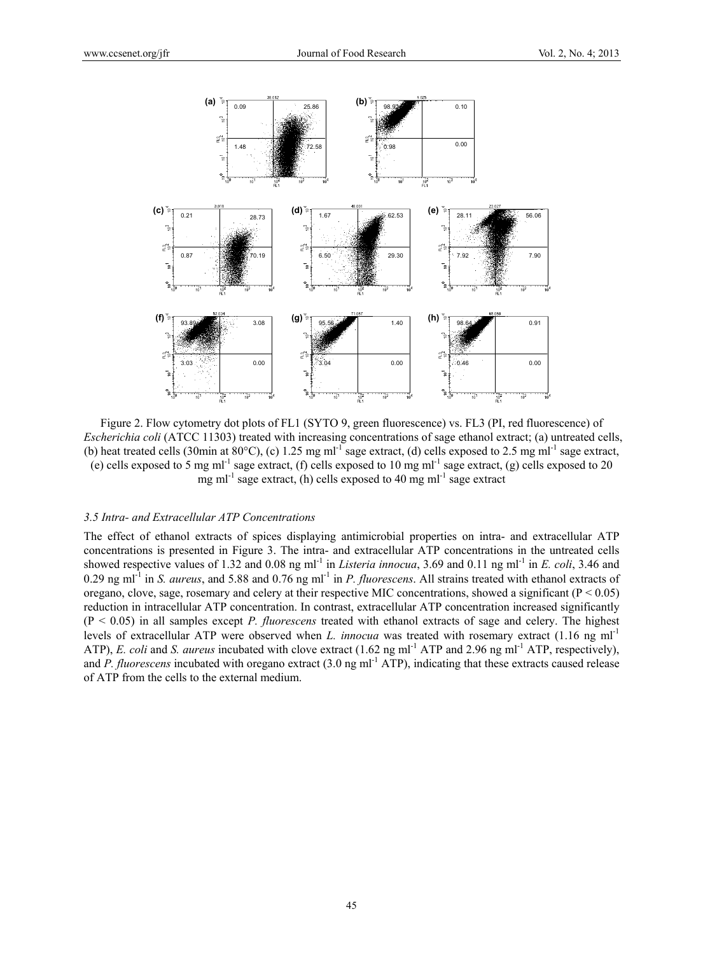

Figure 2. Flow cytometry dot plots of FL1 (SYTO 9, green fluorescence) vs. FL3 (PI, red fluorescence) of *Escherichia coli* (ATCC 11303) treated with increasing concentrations of sage ethanol extract; (a) untreated cells, (b) heat treated cells (30min at 80 $^{\circ}$ C), (c) 1.25 mg ml<sup>-1</sup> sage extract, (d) cells exposed to 2.5 mg ml<sup>-1</sup> sage extract, (e) cells exposed to 5 mg ml<sup>-1</sup> sage extract, (f) cells exposed to 10 mg ml<sup>-1</sup> sage extract, (g) cells exposed to 20 mg ml<sup>-1</sup> sage extract, (h) cells exposed to 40 mg ml<sup>-1</sup> sage extract

#### *3.5 Intra- and Extracellular ATP Concentrations*

The effect of ethanol extracts of spices displaying antimicrobial properties on intra- and extracellular ATP concentrations is presented in Figure 3. The intra- and extracellular ATP concentrations in the untreated cells showed respective values of 1.32 and 0.08 ng ml<sup>-1</sup> in *Listeria innocua*, 3.69 and 0.11 ng ml<sup>-1</sup> in *E. coli*, 3.46 and 0.29 ng ml<sup>-1</sup> in *S. aureus*, and 5.88 and 0.76 ng ml<sup>-1</sup> in *P. fluorescens*. All strains treated with ethanol extracts of oregano, clove, sage, rosemary and celery at their respective MIC concentrations, showed a significant ( $P < 0.05$ ) reduction in intracellular ATP concentration. In contrast, extracellular ATP concentration increased significantly (P < 0.05) in all samples except *P. fluorescens* treated with ethanol extracts of sage and celery. The highest levels of extracellular ATP were observed when *L. innocua* was treated with rosemary extract (1.16 ng ml<sup>-1</sup> ATP), *E. coli* and *S. aureus* incubated with clove extract (1.62 ng ml<sup>-1</sup> ATP and 2.96 ng ml<sup>-1</sup> ATP, respectively), and *P. fluorescens* incubated with oregano extract (3.0 ng ml<sup>-1</sup> ATP), indicating that these extracts caused release of ATP from the cells to the external medium.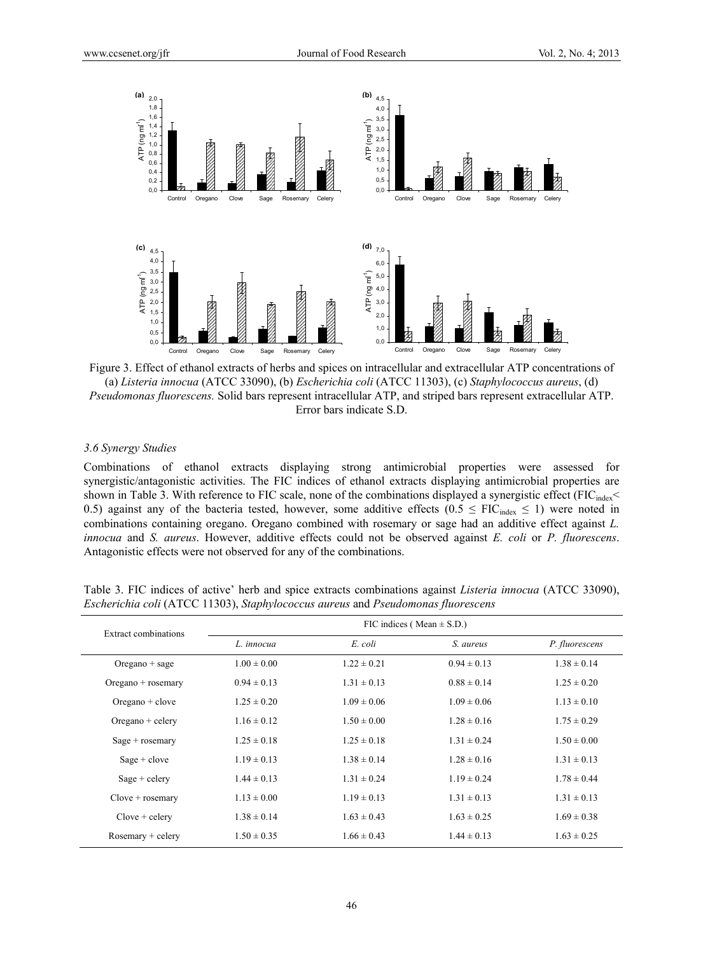

Figure 3. Effect of ethanol extracts of herbs and spices on intracellular and extracellular ATP concentrations of (a) *Listeria innocua* (ATCC 33090), (b) *Escherichia coli* (ATCC 11303), (c) *Staphylococcus aureus*, (d) *Pseudomonas fluorescens.* Solid bars represent intracellular ATP, and striped bars represent extracellular ATP. Error bars indicate S.D.

### *3.6 Synergy Studies*

Combinations of ethanol extracts displaying strong antimicrobial properties were assessed for synergistic/antagonistic activities. The FIC indices of ethanol extracts displaying antimicrobial properties are shown in Table 3. With reference to FIC scale, none of the combinations displayed a synergistic effect (FIC<sub>index</sub>< 0.5) against any of the bacteria tested, however, some additive effects (0.5  $\leq$  FIC<sub>index</sub>  $\leq$  1) were noted in combinations containing oregano. Oregano combined with rosemary or sage had an additive effect against *L. innocua* and *S. aureus*. However, additive effects could not be observed against *E. coli* or *P. fluorescens*. Antagonistic effects were not observed for any of the combinations.

| Extract combinations  | FIC indices (Mean $\pm$ S.D.) |                 |                 |                 |  |  |  |  |  |
|-----------------------|-------------------------------|-----------------|-----------------|-----------------|--|--|--|--|--|
|                       | L. innocua                    | E. coli         | S. aureus       | P. fluorescens  |  |  |  |  |  |
| Oregano $+$ sage      | $1.00 \pm 0.00$               | $1.22 \pm 0.21$ | $0.94 \pm 0.13$ | $1.38 \pm 0.14$ |  |  |  |  |  |
| $O$ regano + rosemary | $0.94 \pm 0.13$               | $1.31 \pm 0.13$ | $0.88 \pm 0.14$ | $1.25 \pm 0.20$ |  |  |  |  |  |
| Oregano + clove       | $1.25 \pm 0.20$               | $1.09 \pm 0.06$ | $1.09 \pm 0.06$ | $1.13 \pm 0.10$ |  |  |  |  |  |
| Oregano + celery      | $1.16 \pm 0.12$               | $1.50 \pm 0.00$ | $1.28 \pm 0.16$ | $1.75 \pm 0.29$ |  |  |  |  |  |
| $Sage + rosemary$     | $1.25 \pm 0.18$               | $1.25 \pm 0.18$ | $1.31 \pm 0.24$ | $1.50 \pm 0.00$ |  |  |  |  |  |
| $Sage + clove$        | $1.19 \pm 0.13$               | $1.38 \pm 0.14$ | $1.28 \pm 0.16$ | $1.31 \pm 0.13$ |  |  |  |  |  |
| $Sage + celery$       | $1.44 \pm 0.13$               | $1.31 \pm 0.24$ | $1.19 \pm 0.24$ | $1.78 \pm 0.44$ |  |  |  |  |  |
| $Clove + rosemary$    | $1.13 \pm 0.00$               | $1.19 \pm 0.13$ | $1.31 \pm 0.13$ | $1.31 \pm 0.13$ |  |  |  |  |  |
| $Clove + celery$      | $1.38 \pm 0.14$               | $1.63 \pm 0.43$ | $1.63 \pm 0.25$ | $1.69 \pm 0.38$ |  |  |  |  |  |
| $Rosemary + celery$   | $1.50 \pm 0.35$               | $1.66 \pm 0.43$ | $1.44 \pm 0.13$ | $1.63 \pm 0.25$ |  |  |  |  |  |

Table 3. FIC indices of active' herb and spice extracts combinations against *Listeria innocua* (ATCC 33090), *Escherichia coli* (ATCC 11303), *Staphylococcus aureus* and *Pseudomonas fluorescens*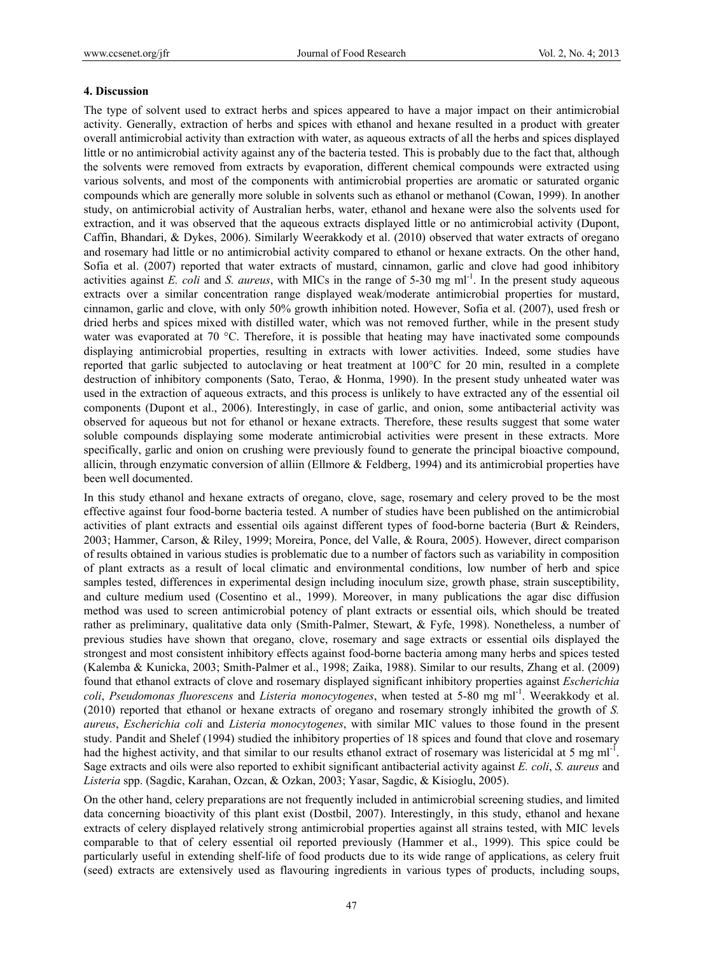#### **4. Discussion**

The type of solvent used to extract herbs and spices appeared to have a major impact on their antimicrobial activity. Generally, extraction of herbs and spices with ethanol and hexane resulted in a product with greater overall antimicrobial activity than extraction with water, as aqueous extracts of all the herbs and spices displayed little or no antimicrobial activity against any of the bacteria tested. This is probably due to the fact that, although the solvents were removed from extracts by evaporation, different chemical compounds were extracted using various solvents, and most of the components with antimicrobial properties are aromatic or saturated organic compounds which are generally more soluble in solvents such as ethanol or methanol (Cowan, 1999). In another study, on antimicrobial activity of Australian herbs, water, ethanol and hexane were also the solvents used for extraction, and it was observed that the aqueous extracts displayed little or no antimicrobial activity (Dupont, Caffin, Bhandari, & Dykes, 2006). Similarly Weerakkody et al. (2010) observed that water extracts of oregano and rosemary had little or no antimicrobial activity compared to ethanol or hexane extracts. On the other hand, Sofia et al. (2007) reported that water extracts of mustard, cinnamon, garlic and clove had good inhibitory activities against *E. coli* and *S. aureus*, with MICs in the range of 5-30 mg  $ml<sup>-1</sup>$ . In the present study aqueous extracts over a similar concentration range displayed weak/moderate antimicrobial properties for mustard, cinnamon, garlic and clove, with only 50% growth inhibition noted. However, Sofia et al. (2007), used fresh or dried herbs and spices mixed with distilled water, which was not removed further, while in the present study water was evaporated at 70 °C. Therefore, it is possible that heating may have inactivated some compounds displaying antimicrobial properties, resulting in extracts with lower activities. Indeed, some studies have reported that garlic subjected to autoclaving or heat treatment at 100°C for 20 min, resulted in a complete destruction of inhibitory components (Sato, Terao, & Honma, 1990). In the present study unheated water was used in the extraction of aqueous extracts, and this process is unlikely to have extracted any of the essential oil components (Dupont et al., 2006). Interestingly, in case of garlic, and onion, some antibacterial activity was observed for aqueous but not for ethanol or hexane extracts. Therefore, these results suggest that some water soluble compounds displaying some moderate antimicrobial activities were present in these extracts. More specifically, garlic and onion on crushing were previously found to generate the principal bioactive compound, allicin, through enzymatic conversion of alliin (Ellmore & Feldberg, 1994) and its antimicrobial properties have been well documented.

In this study ethanol and hexane extracts of oregano, clove, sage, rosemary and celery proved to be the most effective against four food-borne bacteria tested. A number of studies have been published on the antimicrobial activities of plant extracts and essential oils against different types of food-borne bacteria (Burt & Reinders, 2003; Hammer, Carson, & Riley, 1999; Moreira, Ponce, del Valle, & Roura, 2005). However, direct comparison of results obtained in various studies is problematic due to a number of factors such as variability in composition of plant extracts as a result of local climatic and environmental conditions, low number of herb and spice samples tested, differences in experimental design including inoculum size, growth phase, strain susceptibility, and culture medium used (Cosentino et al., 1999). Moreover, in many publications the agar disc diffusion method was used to screen antimicrobial potency of plant extracts or essential oils, which should be treated rather as preliminary, qualitative data only (Smith-Palmer, Stewart, & Fyfe, 1998). Nonetheless, a number of previous studies have shown that oregano, clove, rosemary and sage extracts or essential oils displayed the strongest and most consistent inhibitory effects against food-borne bacteria among many herbs and spices tested (Kalemba & Kunicka, 2003; Smith-Palmer et al., 1998; Zaika, 1988). Similar to our results, Zhang et al. (2009) found that ethanol extracts of clove and rosemary displayed significant inhibitory properties against *Escherichia coli*, *Pseudomonas fluorescens* and *Listeria monocytogenes*, when tested at 5-80 mg ml-1. Weerakkody et al. (2010) reported that ethanol or hexane extracts of oregano and rosemary strongly inhibited the growth of *S. aureus*, *Escherichia coli* and *Listeria monocytogenes*, with similar MIC values to those found in the present study. Pandit and Shelef (1994) studied the inhibitory properties of 18 spices and found that clove and rosemary had the highest activity, and that similar to our results ethanol extract of rosemary was listericidal at 5 mg  $ml^{-1}$ . Sage extracts and oils were also reported to exhibit significant antibacterial activity against *E. coli*, *S. aureus* and *Listeria* spp. (Sagdic, Karahan, Ozcan, & Ozkan, 2003; Yasar, Sagdic, & Kisioglu, 2005).

On the other hand, celery preparations are not frequently included in antimicrobial screening studies, and limited data concerning bioactivity of this plant exist (Dostbil, 2007). Interestingly, in this study, ethanol and hexane extracts of celery displayed relatively strong antimicrobial properties against all strains tested, with MIC levels comparable to that of celery essential oil reported previously (Hammer et al., 1999). This spice could be particularly useful in extending shelf-life of food products due to its wide range of applications, as celery fruit (seed) extracts are extensively used as flavouring ingredients in various types of products, including soups,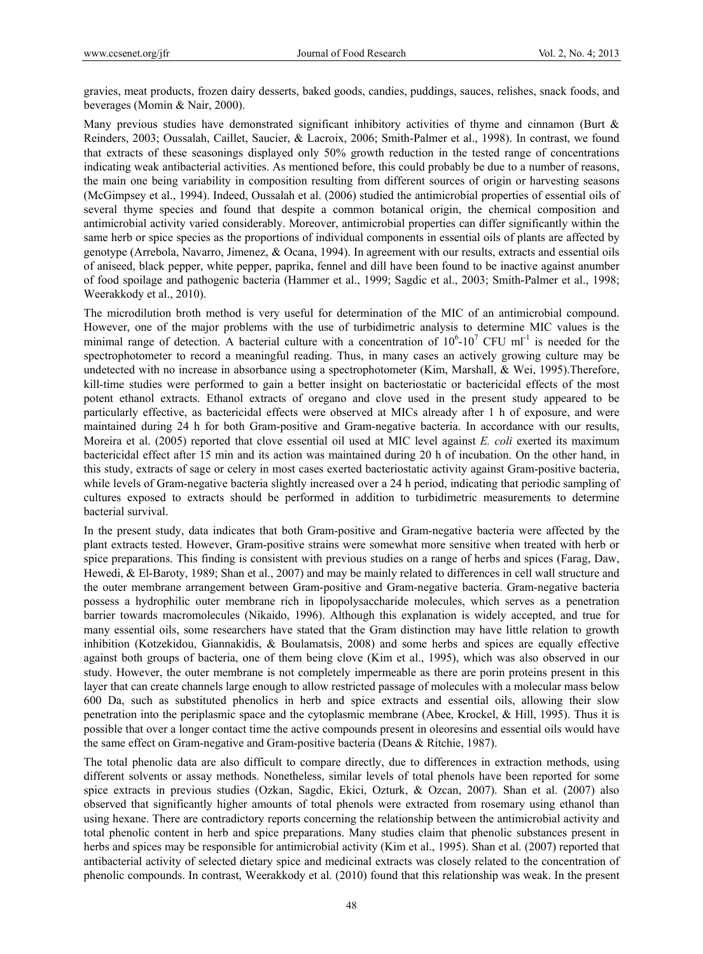gravies, meat products, frozen dairy desserts, baked goods, candies, puddings, sauces, relishes, snack foods, and beverages (Momin & Nair, 2000).

Many previous studies have demonstrated significant inhibitory activities of thyme and cinnamon (Burt & Reinders, 2003; Oussalah, Caillet, Saucier, & Lacroix, 2006; Smith-Palmer et al., 1998). In contrast, we found that extracts of these seasonings displayed only 50% growth reduction in the tested range of concentrations indicating weak antibacterial activities. As mentioned before, this could probably be due to a number of reasons, the main one being variability in composition resulting from different sources of origin or harvesting seasons (McGimpsey et al., 1994). Indeed, Oussalah et al. (2006) studied the antimicrobial properties of essential oils of several thyme species and found that despite a common botanical origin, the chemical composition and antimicrobial activity varied considerably. Moreover, antimicrobial properties can differ significantly within the same herb or spice species as the proportions of individual components in essential oils of plants are affected by genotype (Arrebola, Navarro, Jimenez, & Ocana, 1994). In agreement with our results, extracts and essential oils of aniseed, black pepper, white pepper, paprika, fennel and dill have been found to be inactive against anumber of food spoilage and pathogenic bacteria (Hammer et al., 1999; Sagdic et al., 2003; Smith-Palmer et al., 1998; Weerakkody et al., 2010).

The microdilution broth method is very useful for determination of the MIC of an antimicrobial compound. However, one of the major problems with the use of turbidimetric analysis to determine MIC values is the minimal range of detection. A bacterial culture with a concentration of  $10^6$ - $10^7$  CFU ml<sup>-1</sup> is needed for the spectrophotometer to record a meaningful reading. Thus, in many cases an actively growing culture may be undetected with no increase in absorbance using a spectrophotometer (Kim, Marshall, & Wei, 1995). Therefore, kill-time studies were performed to gain a better insight on bacteriostatic or bactericidal effects of the most potent ethanol extracts. Ethanol extracts of oregano and clove used in the present study appeared to be particularly effective, as bactericidal effects were observed at MICs already after 1 h of exposure, and were maintained during 24 h for both Gram-positive and Gram-negative bacteria. In accordance with our results, Moreira et al. (2005) reported that clove essential oil used at MIC level against *E. coli* exerted its maximum bactericidal effect after 15 min and its action was maintained during 20 h of incubation. On the other hand, in this study, extracts of sage or celery in most cases exerted bacteriostatic activity against Gram-positive bacteria, while levels of Gram-negative bacteria slightly increased over a 24 h period, indicating that periodic sampling of cultures exposed to extracts should be performed in addition to turbidimetric measurements to determine bacterial survival.

In the present study, data indicates that both Gram-positive and Gram-negative bacteria were affected by the plant extracts tested. However, Gram-positive strains were somewhat more sensitive when treated with herb or spice preparations. This finding is consistent with previous studies on a range of herbs and spices (Farag, Daw, Hewedi, & El-Baroty, 1989; Shan et al., 2007) and may be mainly related to differences in cell wall structure and the outer membrane arrangement between Gram-positive and Gram-negative bacteria. Gram-negative bacteria possess a hydrophilic outer membrane rich in lipopolysaccharide molecules, which serves as a penetration barrier towards macromolecules (Nikaido, 1996). Although this explanation is widely accepted, and true for many essential oils, some researchers have stated that the Gram distinction may have little relation to growth inhibition (Kotzekidou, Giannakidis, & Boulamatsis, 2008) and some herbs and spices are equally effective against both groups of bacteria, one of them being clove (Kim et al., 1995), which was also observed in our study. However, the outer membrane is not completely impermeable as there are porin proteins present in this layer that can create channels large enough to allow restricted passage of molecules with a molecular mass below 600 Da, such as substituted phenolics in herb and spice extracts and essential oils, allowing their slow penetration into the periplasmic space and the cytoplasmic membrane (Abee, Krockel, & Hill, 1995). Thus it is possible that over a longer contact time the active compounds present in oleoresins and essential oils would have the same effect on Gram-negative and Gram-positive bacteria (Deans & Ritchie, 1987).

The total phenolic data are also difficult to compare directly, due to differences in extraction methods, using different solvents or assay methods. Nonetheless, similar levels of total phenols have been reported for some spice extracts in previous studies (Ozkan, Sagdic, Ekici, Ozturk, & Ozcan, 2007). Shan et al. (2007) also observed that significantly higher amounts of total phenols were extracted from rosemary using ethanol than using hexane. There are contradictory reports concerning the relationship between the antimicrobial activity and total phenolic content in herb and spice preparations. Many studies claim that phenolic substances present in herbs and spices may be responsible for antimicrobial activity (Kim et al., 1995). Shan et al. (2007) reported that antibacterial activity of selected dietary spice and medicinal extracts was closely related to the concentration of phenolic compounds. In contrast, Weerakkody et al. (2010) found that this relationship was weak. In the present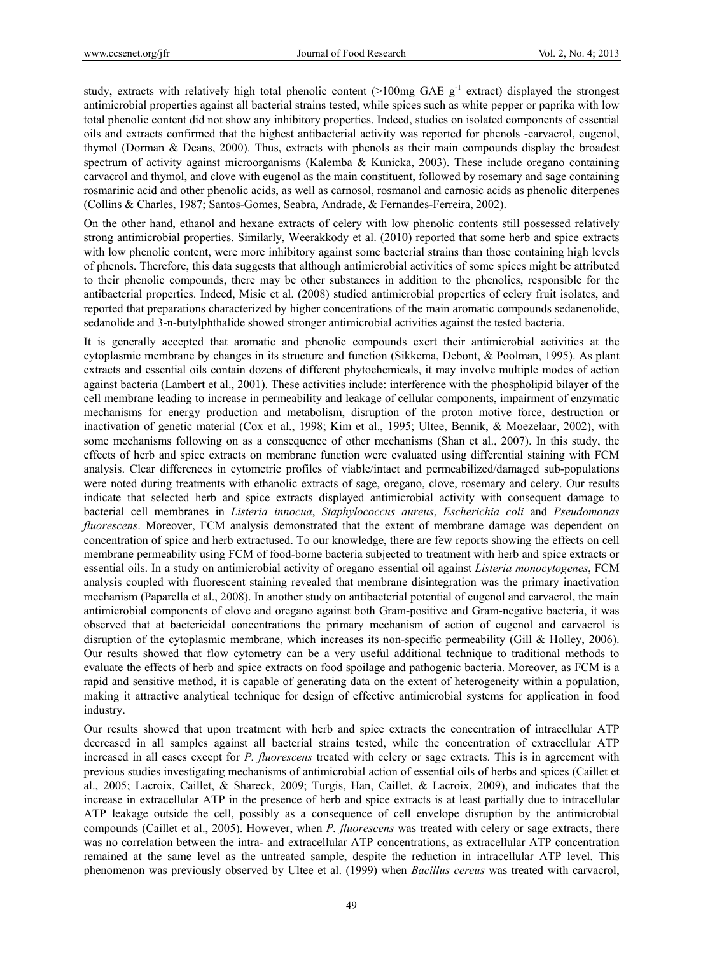study, extracts with relatively high total phenolic content ( $>100$ mg GAE g<sup>-1</sup> extract) displayed the strongest antimicrobial properties against all bacterial strains tested, while spices such as white pepper or paprika with low total phenolic content did not show any inhibitory properties. Indeed, studies on isolated components of essential oils and extracts confirmed that the highest antibacterial activity was reported for phenols -carvacrol, eugenol, thymol (Dorman & Deans, 2000). Thus, extracts with phenols as their main compounds display the broadest spectrum of activity against microorganisms (Kalemba & Kunicka, 2003). These include oregano containing carvacrol and thymol, and clove with eugenol as the main constituent, followed by rosemary and sage containing rosmarinic acid and other phenolic acids, as well as carnosol, rosmanol and carnosic acids as phenolic diterpenes (Collins & Charles, 1987; Santos-Gomes, Seabra, Andrade, & Fernandes-Ferreira, 2002).

On the other hand, ethanol and hexane extracts of celery with low phenolic contents still possessed relatively strong antimicrobial properties. Similarly, Weerakkody et al. (2010) reported that some herb and spice extracts with low phenolic content, were more inhibitory against some bacterial strains than those containing high levels of phenols. Therefore, this data suggests that although antimicrobial activities of some spices might be attributed to their phenolic compounds, there may be other substances in addition to the phenolics, responsible for the antibacterial properties. Indeed, Misic et al. (2008) studied antimicrobial properties of celery fruit isolates, and reported that preparations characterized by higher concentrations of the main aromatic compounds sedanenolide, sedanolide and 3-n-butylphthalide showed stronger antimicrobial activities against the tested bacteria.

It is generally accepted that aromatic and phenolic compounds exert their antimicrobial activities at the cytoplasmic membrane by changes in its structure and function (Sikkema, Debont, & Poolman, 1995). As plant extracts and essential oils contain dozens of different phytochemicals, it may involve multiple modes of action against bacteria (Lambert et al., 2001). These activities include: interference with the phospholipid bilayer of the cell membrane leading to increase in permeability and leakage of cellular components, impairment of enzymatic mechanisms for energy production and metabolism, disruption of the proton motive force, destruction or inactivation of genetic material (Cox et al., 1998; Kim et al., 1995; Ultee, Bennik, & Moezelaar, 2002), with some mechanisms following on as a consequence of other mechanisms (Shan et al., 2007). In this study, the effects of herb and spice extracts on membrane function were evaluated using differential staining with FCM analysis. Clear differences in cytometric profiles of viable/intact and permeabilized/damaged sub-populations were noted during treatments with ethanolic extracts of sage, oregano, clove, rosemary and celery. Our results indicate that selected herb and spice extracts displayed antimicrobial activity with consequent damage to bacterial cell membranes in *Listeria innocua*, *Staphylococcus aureus*, *Escherichia coli* and *Pseudomonas fluorescens*. Moreover, FCM analysis demonstrated that the extent of membrane damage was dependent on concentration of spice and herb extractused. To our knowledge, there are few reports showing the effects on cell membrane permeability using FCM of food-borne bacteria subjected to treatment with herb and spice extracts or essential oils. In a study on antimicrobial activity of oregano essential oil against *Listeria monocytogenes*, FCM analysis coupled with fluorescent staining revealed that membrane disintegration was the primary inactivation mechanism (Paparella et al., 2008). In another study on antibacterial potential of eugenol and carvacrol, the main antimicrobial components of clove and oregano against both Gram-positive and Gram-negative bacteria, it was observed that at bactericidal concentrations the primary mechanism of action of eugenol and carvacrol is disruption of the cytoplasmic membrane, which increases its non-specific permeability (Gill & Holley, 2006). Our results showed that flow cytometry can be a very useful additional technique to traditional methods to evaluate the effects of herb and spice extracts on food spoilage and pathogenic bacteria. Moreover, as FCM is a rapid and sensitive method, it is capable of generating data on the extent of heterogeneity within a population, making it attractive analytical technique for design of effective antimicrobial systems for application in food industry.

Our results showed that upon treatment with herb and spice extracts the concentration of intracellular ATP decreased in all samples against all bacterial strains tested, while the concentration of extracellular ATP increased in all cases except for *P. fluorescens* treated with celery or sage extracts. This is in agreement with previous studies investigating mechanisms of antimicrobial action of essential oils of herbs and spices (Caillet et al., 2005; Lacroix, Caillet, & Shareck, 2009; Turgis, Han, Caillet, & Lacroix, 2009), and indicates that the increase in extracellular ATP in the presence of herb and spice extracts is at least partially due to intracellular ATP leakage outside the cell, possibly as a consequence of cell envelope disruption by the antimicrobial compounds (Caillet et al., 2005). However, when *P. fluorescens* was treated with celery or sage extracts, there was no correlation between the intra- and extracellular ATP concentrations, as extracellular ATP concentration remained at the same level as the untreated sample, despite the reduction in intracellular ATP level. This phenomenon was previously observed by Ultee et al. (1999) when *Bacillus cereus* was treated with carvacrol,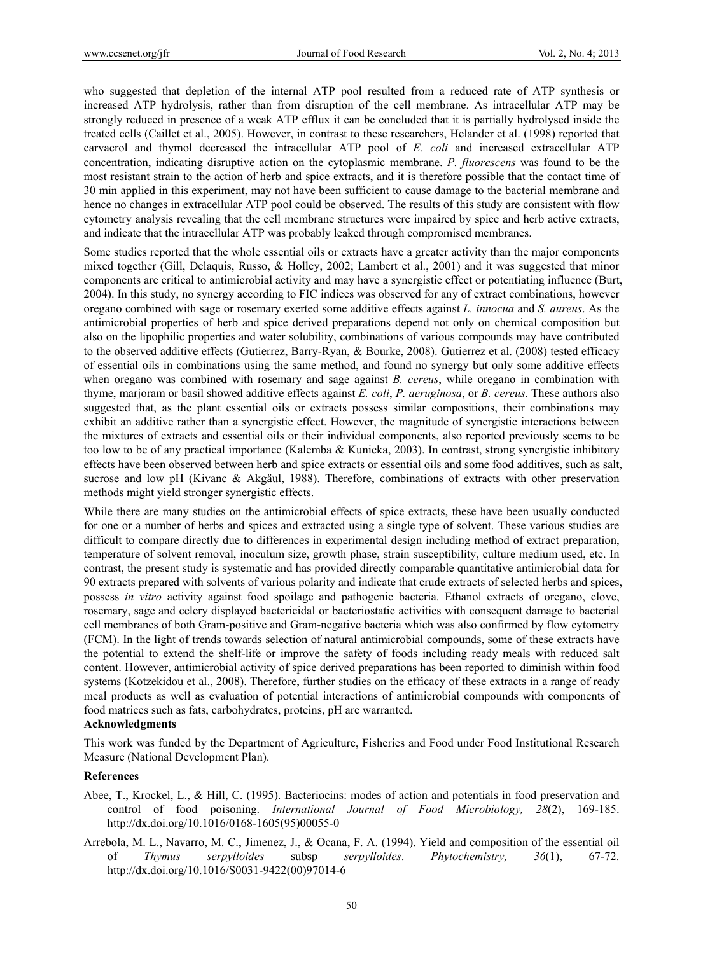who suggested that depletion of the internal ATP pool resulted from a reduced rate of ATP synthesis or increased ATP hydrolysis, rather than from disruption of the cell membrane. As intracellular ATP may be strongly reduced in presence of a weak ATP efflux it can be concluded that it is partially hydrolysed inside the treated cells (Caillet et al., 2005). However, in contrast to these researchers, Helander et al. (1998) reported that carvacrol and thymol decreased the intracellular ATP pool of *E. coli* and increased extracellular ATP concentration, indicating disruptive action on the cytoplasmic membrane. *P. fluorescens* was found to be the most resistant strain to the action of herb and spice extracts, and it is therefore possible that the contact time of 30 min applied in this experiment, may not have been sufficient to cause damage to the bacterial membrane and hence no changes in extracellular ATP pool could be observed. The results of this study are consistent with flow cytometry analysis revealing that the cell membrane structures were impaired by spice and herb active extracts, and indicate that the intracellular ATP was probably leaked through compromised membranes.

Some studies reported that the whole essential oils or extracts have a greater activity than the major components mixed together (Gill, Delaquis, Russo, & Holley, 2002; Lambert et al., 2001) and it was suggested that minor components are critical to antimicrobial activity and may have a synergistic effect or potentiating influence (Burt, 2004). In this study, no synergy according to FIC indices was observed for any of extract combinations, however oregano combined with sage or rosemary exerted some additive effects against *L. innocua* and *S. aureus*. As the antimicrobial properties of herb and spice derived preparations depend not only on chemical composition but also on the lipophilic properties and water solubility, combinations of various compounds may have contributed to the observed additive effects (Gutierrez, Barry-Ryan, & Bourke, 2008). Gutierrez et al. (2008) tested efficacy of essential oils in combinations using the same method, and found no synergy but only some additive effects when oregano was combined with rosemary and sage against *B. cereus*, while oregano in combination with thyme, marjoram or basil showed additive effects against *E. coli*, *P. aeruginosa*, or *B. cereus*. These authors also suggested that, as the plant essential oils or extracts possess similar compositions, their combinations may exhibit an additive rather than a synergistic effect. However, the magnitude of synergistic interactions between the mixtures of extracts and essential oils or their individual components, also reported previously seems to be too low to be of any practical importance (Kalemba & Kunicka, 2003). In contrast, strong synergistic inhibitory effects have been observed between herb and spice extracts or essential oils and some food additives, such as salt, sucrose and low pH (Kivanc & Akgäul, 1988). Therefore, combinations of extracts with other preservation methods might yield stronger synergistic effects.

While there are many studies on the antimicrobial effects of spice extracts, these have been usually conducted for one or a number of herbs and spices and extracted using a single type of solvent. These various studies are difficult to compare directly due to differences in experimental design including method of extract preparation, temperature of solvent removal, inoculum size, growth phase, strain susceptibility, culture medium used, etc. In contrast, the present study is systematic and has provided directly comparable quantitative antimicrobial data for 90 extracts prepared with solvents of various polarity and indicate that crude extracts of selected herbs and spices, possess *in vitro* activity against food spoilage and pathogenic bacteria. Ethanol extracts of oregano, clove, rosemary, sage and celery displayed bactericidal or bacteriostatic activities with consequent damage to bacterial cell membranes of both Gram-positive and Gram-negative bacteria which was also confirmed by flow cytometry (FCM). In the light of trends towards selection of natural antimicrobial compounds, some of these extracts have the potential to extend the shelf-life or improve the safety of foods including ready meals with reduced salt content. However, antimicrobial activity of spice derived preparations has been reported to diminish within food systems (Kotzekidou et al., 2008). Therefore, further studies on the efficacy of these extracts in a range of ready meal products as well as evaluation of potential interactions of antimicrobial compounds with components of food matrices such as fats, carbohydrates, proteins, pH are warranted.

### **Acknowledgments**

This work was funded by the Department of Agriculture, Fisheries and Food under Food Institutional Research Measure (National Development Plan).

### **References**

- Abee, T., Krockel, L., & Hill, C. (1995). Bacteriocins: modes of action and potentials in food preservation and control of food poisoning. *International Journal of Food Microbiology, 28*(2), 169-185. http://dx.doi.org/10.1016/0168-1605(95)00055-0
- Arrebola, M. L., Navarro, M. C., Jimenez, J., & Ocana, F. A. (1994). Yield and composition of the essential oil of *Thymus serpylloides* subsp *serpylloides*. *Phytochemistry, 36*(1), 67-72. http://dx.doi.org/10.1016/S0031-9422(00)97014-6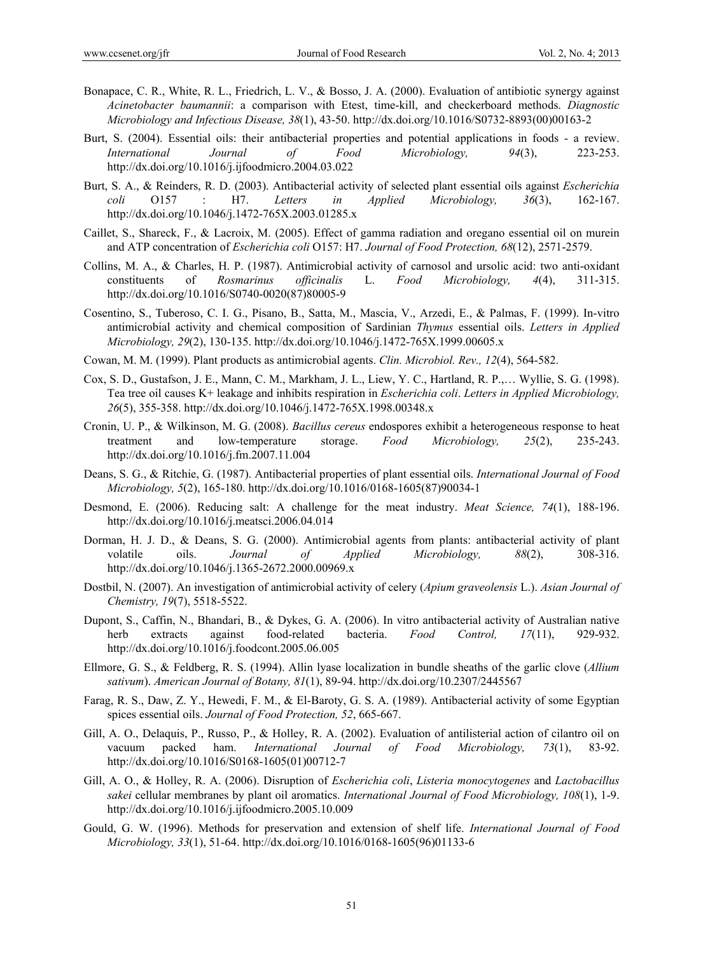- Bonapace, C. R., White, R. L., Friedrich, L. V., & Bosso, J. A. (2000). Evaluation of antibiotic synergy against *Acinetobacter baumannii*: a comparison with Etest, time-kill, and checkerboard methods. *Diagnostic Microbiology and Infectious Disease, 38*(1), 43-50. http://dx.doi.org/10.1016/S0732-8893(00)00163-2
- Burt, S. (2004). Essential oils: their antibacterial properties and potential applications in foods a review. *International Journal of Food Microbiology, 94*(3), 223-253. http://dx.doi.org/10.1016/j.ijfoodmicro.2004.03.022
- Burt, S. A., & Reinders, R. D. (2003). Antibacterial activity of selected plant essential oils against *Escherichia coli* O157 : H7. *Letters in Applied Microbiology, 36*(3), 162-167. http://dx.doi.org/10.1046/j.1472-765X.2003.01285.x
- Caillet, S., Shareck, F., & Lacroix, M. (2005). Effect of gamma radiation and oregano essential oil on murein and ATP concentration of *Escherichia coli* O157: H7. *Journal of Food Protection, 68*(12), 2571-2579.
- Collins, M. A., & Charles, H. P. (1987). Antimicrobial activity of carnosol and ursolic acid: two anti-oxidant constituents of *Rosmarinus officinalis* L. *Food Microbiology, 4*(4), 311-315. http://dx.doi.org/10.1016/S0740-0020(87)80005-9
- Cosentino, S., Tuberoso, C. I. G., Pisano, B., Satta, M., Mascia, V., Arzedi, E., & Palmas, F. (1999). In-vitro antimicrobial activity and chemical composition of Sardinian *Thymus* essential oils. *Letters in Applied Microbiology, 29*(2), 130-135. http://dx.doi.org/10.1046/j.1472-765X.1999.00605.x
- Cowan, M. M. (1999). Plant products as antimicrobial agents. *Clin. Microbiol. Rev., 12*(4), 564-582.
- Cox, S. D., Gustafson, J. E., Mann, C. M., Markham, J. L., Liew, Y. C., Hartland, R. P.,… Wyllie, S. G. (1998). Tea tree oil causes K+ leakage and inhibits respiration in *Escherichia coli*. *Letters in Applied Microbiology, 26*(5), 355-358. http://dx.doi.org/10.1046/j.1472-765X.1998.00348.x
- Cronin, U. P., & Wilkinson, M. G. (2008). *Bacillus cereus* endospores exhibit a heterogeneous response to heat treatment and low-temperature storage. *Food Microbiology, 25*(2), 235-243. http://dx.doi.org/10.1016/j.fm.2007.11.004
- Deans, S. G., & Ritchie, G. (1987). Antibacterial properties of plant essential oils. *International Journal of Food Microbiology, 5*(2), 165-180. http://dx.doi.org/10.1016/0168-1605(87)90034-1
- Desmond, E. (2006). Reducing salt: A challenge for the meat industry. *Meat Science, 74*(1), 188-196. http://dx.doi.org/10.1016/j.meatsci.2006.04.014
- Dorman, H. J. D., & Deans, S. G. (2000). Antimicrobial agents from plants: antibacterial activity of plant volatile oils. *Journal of Applied Microbiology, 88*(2), 308-316. http://dx.doi.org/10.1046/j.1365-2672.2000.00969.x
- Dostbil, N. (2007). An investigation of antimicrobial activity of celery (*Apium graveolensis* L.). *Asian Journal of Chemistry, 19*(7), 5518-5522.
- Dupont, S., Caffin, N., Bhandari, B., & Dykes, G. A. (2006). In vitro antibacterial activity of Australian native herb extracts against food-related bacteria. *Food Control, 17*(11), 929-932. http://dx.doi.org/10.1016/j.foodcont.2005.06.005
- Ellmore, G. S., & Feldberg, R. S. (1994). Allin lyase localization in bundle sheaths of the garlic clove (*Allium sativum*). *American Journal of Botany, 81*(1), 89-94. http://dx.doi.org/10.2307/2445567
- Farag, R. S., Daw, Z. Y., Hewedi, F. M., & El-Baroty, G. S. A. (1989). Antibacterial activity of some Egyptian spices essential oils. *Journal of Food Protection, 52*, 665-667.
- Gill, A. O., Delaquis, P., Russo, P., & Holley, R. A. (2002). Evaluation of antilisterial action of cilantro oil on vacuum packed ham. *International Journal of Food Microbiology, 73*(1), 83-92. http://dx.doi.org/10.1016/S0168-1605(01)00712-7
- Gill, A. O., & Holley, R. A. (2006). Disruption of *Escherichia coli*, *Listeria monocytogenes* and *Lactobacillus sakei* cellular membranes by plant oil aromatics. *International Journal of Food Microbiology, 108*(1), 1-9. http://dx.doi.org/10.1016/j.ijfoodmicro.2005.10.009
- Gould, G. W. (1996). Methods for preservation and extension of shelf life. *International Journal of Food Microbiology, 33*(1), 51-64. http://dx.doi.org/10.1016/0168-1605(96)01133-6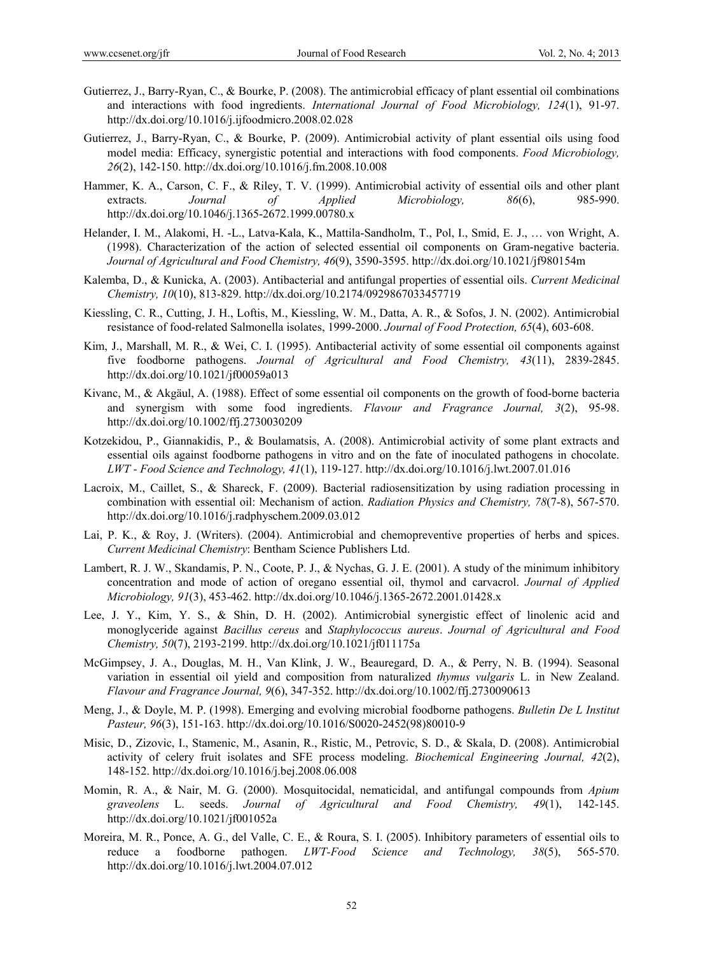- Gutierrez, J., Barry-Ryan, C., & Bourke, P. (2008). The antimicrobial efficacy of plant essential oil combinations and interactions with food ingredients. *International Journal of Food Microbiology, 124*(1), 91-97. http://dx.doi.org/10.1016/j.ijfoodmicro.2008.02.028
- Gutierrez, J., Barry-Ryan, C., & Bourke, P. (2009). Antimicrobial activity of plant essential oils using food model media: Efficacy, synergistic potential and interactions with food components. *Food Microbiology, 26*(2), 142-150. http://dx.doi.org/10.1016/j.fm.2008.10.008
- Hammer, K. A., Carson, C. F., & Riley, T. V. (1999). Antimicrobial activity of essential oils and other plant extracts. *Journal of Applied Microbiology, 86*(6), 985-990. http://dx.doi.org/10.1046/j.1365-2672.1999.00780.x
- Helander, I. M., Alakomi, H. -L., Latva-Kala, K., Mattila-Sandholm, T., Pol, I., Smid, E. J., … von Wright, A. (1998). Characterization of the action of selected essential oil components on Gram-negative bacteria. *Journal of Agricultural and Food Chemistry, 46*(9), 3590-3595. http://dx.doi.org/10.1021/jf980154m
- Kalemba, D., & Kunicka, A. (2003). Antibacterial and antifungal properties of essential oils. *Current Medicinal Chemistry, 10*(10), 813-829. http://dx.doi.org/10.2174/0929867033457719
- Kiessling, C. R., Cutting, J. H., Loftis, M., Kiessling, W. M., Datta, A. R., & Sofos, J. N. (2002). Antimicrobial resistance of food-related Salmonella isolates, 1999-2000. *Journal of Food Protection, 65*(4), 603-608.
- Kim, J., Marshall, M. R., & Wei, C. I. (1995). Antibacterial activity of some essential oil components against five foodborne pathogens. *Journal of Agricultural and Food Chemistry, 43*(11), 2839-2845. http://dx.doi.org/10.1021/jf00059a013
- Kivanc, M., & Akgäul, A. (1988). Effect of some essential oil components on the growth of food-borne bacteria and synergism with some food ingredients. *Flavour and Fragrance Journal, 3*(2), 95-98. http://dx.doi.org/10.1002/ffj.2730030209
- Kotzekidou, P., Giannakidis, P., & Boulamatsis, A. (2008). Antimicrobial activity of some plant extracts and essential oils against foodborne pathogens in vitro and on the fate of inoculated pathogens in chocolate. *LWT - Food Science and Technology, 41*(1), 119-127. http://dx.doi.org/10.1016/j.lwt.2007.01.016
- Lacroix, M., Caillet, S., & Shareck, F. (2009). Bacterial radiosensitization by using radiation processing in combination with essential oil: Mechanism of action. *Radiation Physics and Chemistry, 78*(7-8), 567-570. http://dx.doi.org/10.1016/j.radphyschem.2009.03.012
- Lai, P. K., & Roy, J. (Writers). (2004). Antimicrobial and chemopreventive properties of herbs and spices. *Current Medicinal Chemistry*: Bentham Science Publishers Ltd.
- Lambert, R. J. W., Skandamis, P. N., Coote, P. J., & Nychas, G. J. E. (2001). A study of the minimum inhibitory concentration and mode of action of oregano essential oil, thymol and carvacrol. *Journal of Applied Microbiology, 91*(3), 453-462. http://dx.doi.org/10.1046/j.1365-2672.2001.01428.x
- Lee, J. Y., Kim, Y. S., & Shin, D. H. (2002). Antimicrobial synergistic effect of linolenic acid and monoglyceride against *Bacillus cereus* and *Staphylococcus aureus*. *Journal of Agricultural and Food Chemistry, 50*(7), 2193-2199. http://dx.doi.org/10.1021/jf011175a
- McGimpsey, J. A., Douglas, M. H., Van Klink, J. W., Beauregard, D. A., & Perry, N. B. (1994). Seasonal variation in essential oil yield and composition from naturalized *thymus vulgaris* L. in New Zealand. *Flavour and Fragrance Journal, 9*(6), 347-352. http://dx.doi.org/10.1002/ffj.2730090613
- Meng, J., & Doyle, M. P. (1998). Emerging and evolving microbial foodborne pathogens. *Bulletin De L Institut Pasteur, 96*(3), 151-163. http://dx.doi.org/10.1016/S0020-2452(98)80010-9
- Misic, D., Zizovic, I., Stamenic, M., Asanin, R., Ristic, M., Petrovic, S. D., & Skala, D. (2008). Antimicrobial activity of celery fruit isolates and SFE process modeling. *Biochemical Engineering Journal, 42*(2), 148-152. http://dx.doi.org/10.1016/j.bej.2008.06.008
- Momin, R. A., & Nair, M. G. (2000). Mosquitocidal, nematicidal, and antifungal compounds from *Apium graveolens* L. seeds. *Journal of Agricultural and Food Chemistry, 49*(1), 142-145. http://dx.doi.org/10.1021/jf001052a
- Moreira, M. R., Ponce, A. G., del Valle, C. E., & Roura, S. I. (2005). Inhibitory parameters of essential oils to reduce a foodborne pathogen. *LWT-Food Science and Technology, 38*(5), 565-570. http://dx.doi.org/10.1016/j.lwt.2004.07.012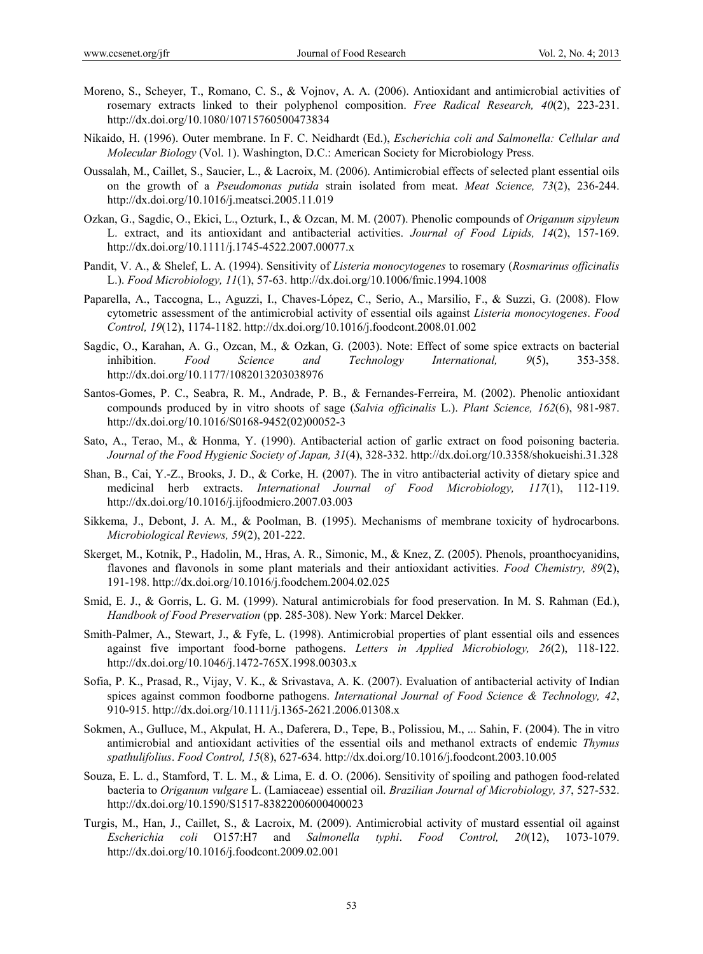- Moreno, S., Scheyer, T., Romano, C. S., & Vojnov, A. A. (2006). Antioxidant and antimicrobial activities of rosemary extracts linked to their polyphenol composition. *Free Radical Research, 40*(2), 223-231. http://dx.doi.org/10.1080/10715760500473834
- Nikaido, H. (1996). Outer membrane. In F. C. Neidhardt (Ed.), *Escherichia coli and Salmonella: Cellular and Molecular Biology* (Vol. 1). Washington, D.C.: American Society for Microbiology Press.
- Oussalah, M., Caillet, S., Saucier, L., & Lacroix, M. (2006). Antimicrobial effects of selected plant essential oils on the growth of a *Pseudomonas putida* strain isolated from meat. *Meat Science, 73*(2), 236-244. http://dx.doi.org/10.1016/j.meatsci.2005.11.019
- Ozkan, G., Sagdic, O., Ekici, L., Ozturk, I., & Ozcan, M. M. (2007). Phenolic compounds of *Origanum sipyleum* L. extract, and its antioxidant and antibacterial activities. *Journal of Food Lipids, 14*(2), 157-169. http://dx.doi.org/10.1111/j.1745-4522.2007.00077.x
- Pandit, V. A., & Shelef, L. A. (1994). Sensitivity of *Listeria monocytogenes* to rosemary (*Rosmarinus officinalis* L.). *Food Microbiology, 11*(1), 57-63. http://dx.doi.org/10.1006/fmic.1994.1008
- Paparella, A., Taccogna, L., Aguzzi, I., Chaves-López, C., Serio, A., Marsilio, F., & Suzzi, G. (2008). Flow cytometric assessment of the antimicrobial activity of essential oils against *Listeria monocytogenes*. *Food Control, 19*(12), 1174-1182. http://dx.doi.org/10.1016/j.foodcont.2008.01.002
- Sagdic, O., Karahan, A. G., Ozcan, M., & Ozkan, G. (2003). Note: Effect of some spice extracts on bacterial inhibition. *Food Science and Technology International, 9*(5), 353-358. http://dx.doi.org/10.1177/1082013203038976
- Santos-Gomes, P. C., Seabra, R. M., Andrade, P. B., & Fernandes-Ferreira, M. (2002). Phenolic antioxidant compounds produced by in vitro shoots of sage (*Salvia officinalis* L.). *Plant Science, 162*(6), 981-987. http://dx.doi.org/10.1016/S0168-9452(02)00052-3
- Sato, A., Terao, M., & Honma, Y. (1990). Antibacterial action of garlic extract on food poisoning bacteria. *Journal of the Food Hygienic Society of Japan, 31*(4), 328-332. http://dx.doi.org/10.3358/shokueishi.31.328
- Shan, B., Cai, Y.-Z., Brooks, J. D., & Corke, H. (2007). The in vitro antibacterial activity of dietary spice and medicinal herb extracts. *International Journal of Food Microbiology, 117*(1), 112-119. http://dx.doi.org/10.1016/j.ijfoodmicro.2007.03.003
- Sikkema, J., Debont, J. A. M., & Poolman, B. (1995). Mechanisms of membrane toxicity of hydrocarbons. *Microbiological Reviews, 59*(2), 201-222.
- Skerget, M., Kotnik, P., Hadolin, M., Hras, A. R., Simonic, M., & Knez, Z. (2005). Phenols, proanthocyanidins, flavones and flavonols in some plant materials and their antioxidant activities. *Food Chemistry, 89*(2), 191-198. http://dx.doi.org/10.1016/j.foodchem.2004.02.025
- Smid, E. J., & Gorris, L. G. M. (1999). Natural antimicrobials for food preservation. In M. S. Rahman (Ed.), *Handbook of Food Preservation* (pp. 285-308). New York: Marcel Dekker.
- Smith-Palmer, A., Stewart, J., & Fyfe, L. (1998). Antimicrobial properties of plant essential oils and essences against five important food-borne pathogens. *Letters in Applied Microbiology, 26*(2), 118-122. http://dx.doi.org/10.1046/j.1472-765X.1998.00303.x
- Sofia, P. K., Prasad, R., Vijay, V. K., & Srivastava, A. K. (2007). Evaluation of antibacterial activity of Indian spices against common foodborne pathogens. *International Journal of Food Science & Technology, 42*, 910-915. http://dx.doi.org/10.1111/j.1365-2621.2006.01308.x
- Sokmen, A., Gulluce, M., Akpulat, H. A., Daferera, D., Tepe, B., Polissiou, M., ... Sahin, F. (2004). The in vitro antimicrobial and antioxidant activities of the essential oils and methanol extracts of endemic *Thymus spathulifolius*. *Food Control, 15*(8), 627-634. http://dx.doi.org/10.1016/j.foodcont.2003.10.005
- Souza, E. L. d., Stamford, T. L. M., & Lima, E. d. O. (2006). Sensitivity of spoiling and pathogen food-related bacteria to *Origanum vulgare* L. (Lamiaceae) essential oil. *Brazilian Journal of Microbiology, 37*, 527-532. http://dx.doi.org/10.1590/S1517-83822006000400023
- Turgis, M., Han, J., Caillet, S., & Lacroix, M. (2009). Antimicrobial activity of mustard essential oil against *Escherichia coli* O157:H7 and *Salmonella typhi*. *Food Control, 20*(12), 1073-1079. http://dx.doi.org/10.1016/j.foodcont.2009.02.001